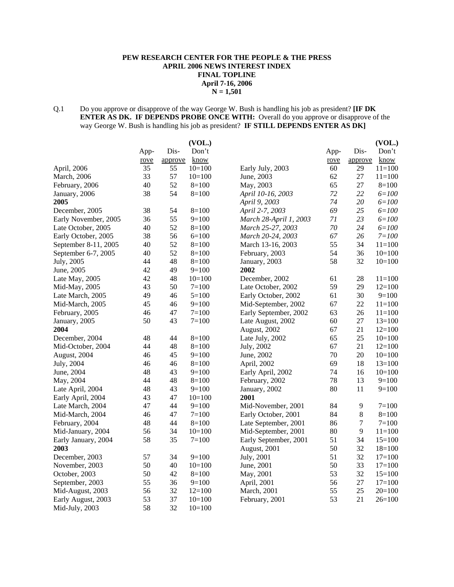# **PEW RESEARCH CENTER FOR THE PEOPLE & THE PRESS APRIL 2006 NEWS INTEREST INDEX FINAL TOPLINE April 7-16, 2006 N = 1,501**

# Q.1 Do you approve or disapprove of the way George W. Bush is handling his job as president? **[IF DK ENTER AS DK. IF DEPENDS PROBE ONCE WITH:** Overall do you approve or disapprove of the way George W. Bush is handling his job as president? **IF STILL DEPENDS ENTER AS DK]**

|                      |      |         | (VOL.)      |                        |      |                  | (VOL.)     |
|----------------------|------|---------|-------------|------------------------|------|------------------|------------|
|                      | App- | Dis-    | Don't       |                        | App- | Dis-             | Don't      |
|                      | rove | approve | <u>know</u> |                        | rove | approve          | know       |
| April, 2006          | 35   | 55      | $10=100$    | Early July, 2003       | 60   | 29               | $11 = 100$ |
| March, 2006          | 33   | 57      | $10=100$    | June, 2003             | 62   | 27               | $11 = 100$ |
| February, 2006       | 40   | 52      | $8=100$     | May, 2003              | 65   | 27               | $8=100$    |
| January, 2006        | 38   | 54      | $8=100$     | April 10-16, 2003      | 72   | 22               | $6 = 100$  |
| 2005                 |      |         |             | April 9, 2003          | 74   | 20               | $6 = 100$  |
| December, 2005       | 38   | 54      | $8=100$     | April 2-7, 2003        | 69   | 25               | $6 = 100$  |
| Early November, 2005 | 36   | 55      | $9=100$     | March 28-April 1, 2003 | 71   | 23               | $6 = 100$  |
| Late October, 2005   | 40   | 52      | $8=100$     | March 25-27, 2003      | 70   | 24               | $6 = 100$  |
| Early October, 2005  | 38   | 56      | $6=100$     | March 20-24, 2003      | 67   | 26               | $7 = 100$  |
| September 8-11, 2005 | 40   | 52      | $8=100$     | March 13-16, 2003      | 55   | 34               | $11=100$   |
| September 6-7, 2005  | 40   | 52      | $8=100$     | February, 2003         | 54   | 36               | $10=100$   |
| July, 2005           | 44   | 48      | $8=100$     | January, 2003          | 58   | 32               | $10=100$   |
| June, 2005           | 42   | 49      | $9=100$     | 2002                   |      |                  |            |
| Late May, 2005       | 42   | 48      | $10=100$    | December, 2002         | 61   | 28               | $11 = 100$ |
| Mid-May, 2005        | 43   | 50      | $7 = 100$   | Late October, 2002     | 59   | 29               | $12=100$   |
| Late March, 2005     | 49   | 46      | $5=100$     | Early October, 2002    | 61   | 30               | $9=100$    |
| Mid-March, 2005      | 45   | 46      | $9=100$     | Mid-September, 2002    | 67   | 22               | $11 = 100$ |
| February, 2005       | 46   | 47      | $7 = 100$   | Early September, 2002  | 63   | 26               | $11 = 100$ |
| January, 2005        | 50   | 43      | $7 = 100$   | Late August, 2002      | 60   | 27               | $13=100$   |
| 2004                 |      |         |             | August, 2002           | 67   | 21               | $12=100$   |
| December, 2004       | 48   | 44      | $8=100$     | Late July, 2002        | 65   | 25               | $10=100$   |
| Mid-October, 2004    | 44   | 48      | $8=100$     | July, 2002             | 67   | 21               | $12=100$   |
| August, 2004         | 46   | 45      | $9=100$     | June, 2002             | 70   | 20               | $10=100$   |
| July, 2004           | 46   | 46      | $8=100$     | April, 2002            | 69   | 18               | $13=100$   |
| June, 2004           | 48   | 43      | $9=100$     | Early April, 2002      | 74   | 16               | $10=100$   |
| May, 2004            | 44   | 48      | $8=100$     | February, 2002         | 78   | 13               | $9=100$    |
| Late April, 2004     | 48   | 43      | $9=100$     | January, 2002          | 80   | 11               | $9=100$    |
| Early April, 2004    | 43   | 47      | $10=100$    | 2001                   |      |                  |            |
| Late March, 2004     | 47   | 44      | $9=100$     | Mid-November, 2001     | 84   | 9                | $7 = 100$  |
| Mid-March, 2004      | 46   | 47      | $7 = 100$   | Early October, 2001    | 84   | 8                | $8=100$    |
| February, 2004       | 48   | 44      | $8=100$     | Late September, 2001   | 86   | $\boldsymbol{7}$ | $7 = 100$  |
| Mid-January, 2004    | 56   | 34      | $10=100$    | Mid-September, 2001    | 80   | 9                | $11 = 100$ |
| Early January, 2004  | 58   | 35      | $7 = 100$   | Early September, 2001  | 51   | 34               | $15=100$   |
| 2003                 |      |         |             | August, 2001           | 50   | 32               | $18=100$   |
| December, 2003       | 57   | 34      | $9=100$     | July, 2001             | 51   | 32               | $17=100$   |
| November, 2003       | 50   | 40      | $10=100$    | June, 2001             | 50   | 33               | $17=100$   |
| October, 2003        | 50   | 42      | $8=100$     | May, 2001              | 53   | 32               | $15=100$   |
| September, 2003      | 55   | 36      | $9=100$     | April, 2001            | 56   | 27               | $17=100$   |
| Mid-August, 2003     | 56   | 32      | $12=100$    | March, 2001            | 55   | 25               | $20=100$   |
| Early August, 2003   | 53   | 37      | $10=100$    | February, 2001         | 53   | 21               | $26=100$   |
| Mid-July, 2003       | 58   | 32      | $10=100$    |                        |      |                  |            |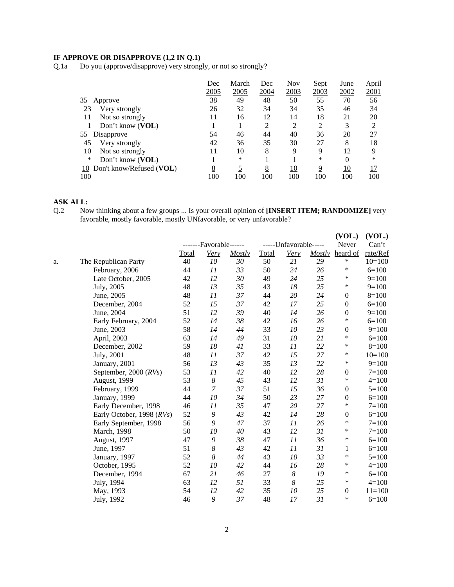# **IF APPROVE OR DISAPPROVE (1,2 IN Q.1)**

Q.1a Do you (approve/disapprove) very strongly, or not so strongly?

|                                    | Dec  | March | Dec  | <b>Nov</b>     | Sept | June | April          |
|------------------------------------|------|-------|------|----------------|------|------|----------------|
|                                    | 2005 | 2005  | 2004 | 2003           | 2003 | 2002 | 2001           |
| 35<br>Approve                      | 38   | 49    | 48   | 50             | 55   | 70   | 56             |
| 23<br>Very strongly                | 26   | 32    | 34   | 34             | 35   | 46   | 34             |
| Not so strongly<br>11              | 11   | 16    | 12   | 14             | 18   | 21   | 20             |
| Don't know (VOL)                   |      |       | 2    | $\overline{2}$ | 2    | 3    | $\mathfrak{D}$ |
| 55<br>Disapprove                   | 54   | 46    | 44   | 40             | 36   | 20   | 27             |
| 45<br>Very strongly                | 42   | 36    | 35   | 30             | 27   | 8    | 18             |
| 10<br>Not so strongly              | 11   | 10    | 8    | 9              | 9    | 12   | 9              |
| *<br>Don't know (VOL)              |      | *     |      |                | *    | 0    | *              |
| Don't know/Refused ( $VOL$ )<br>10 | 8    |       | 8    | 10             | 9    | 10   | 17             |
| 100                                | 100  | 100   | 100  | 100            | 100  | 100  | 100            |

#### **ASK ALL:**

Q.2 Now thinking about a few groups ... Is your overall opinion of **[INSERT ITEM; RANDOMIZE]** very favorable, mostly favorable, mostly UNfavorable, or very unfavorable?

|    |                           |              | -------Favorable------ |        |              | -----Unfavorable----- |               | (VOL.)<br>Never  | (VOL.)<br>Can't |
|----|---------------------------|--------------|------------------------|--------|--------------|-----------------------|---------------|------------------|-----------------|
|    |                           | <b>Total</b> | Very                   | Mostly | <b>Total</b> | <b>Very</b>           | <b>Mostly</b> | heard of         | rate/Ref        |
| a. | The Republican Party      | 40           | $10\,$                 | 30     | 50           | 21                    | 29            | ∗                | $10=100$        |
|    | February, 2006            | 44           | 11                     | 33     | 50           | 24                    | 26            | ∗                | $6=100$         |
|    | Late October, 2005        | 42           | 12                     | 30     | 49           | 24                    | 25            | ∗                | $9=100$         |
|    | July, 2005                | 48           | 13                     | 35     | 43           | 18                    | 25            | *                | $9=100$         |
|    | June, 2005                | 48           | 11                     | 37     | 44           | 20                    | 24            | $\boldsymbol{0}$ | $8=100$         |
|    | December, 2004            | 52           | 15                     | 37     | 42           | 17                    | 25            | $\mathbf{0}$     | $6=100$         |
|    | June, 2004                | 51           | 12                     | 39     | 40           | 14                    | 26            | $\boldsymbol{0}$ | $9=100$         |
|    | Early February, 2004      | 52           | 14                     | 38     | 42           | 16                    | 26            | *                | $6=100$         |
|    | June, 2003                | 58           | 14                     | 44     | 33           | 10                    | 23            | $\mathbf{0}$     | $9=100$         |
|    | April, 2003               | 63           | 14                     | 49     | 31           | 10                    | 21            | $\ast$           | $6=100$         |
|    | December, 2002            | 59           | 18                     | 41     | 33           | 11                    | 22            | *                | $8=100$         |
|    | July, 2001                | 48           | 11                     | 37     | 42           | 15                    | 27            | $\ast$           | $10=100$        |
|    | January, 2001             | 56           | 13                     | 43     | 35           | 13                    | 22            | *                | $9=100$         |
|    | September, 2000 (RVs)     | 53           | 11                     | 42     | 40           | 12                    | 28            | $\boldsymbol{0}$ | $7 = 100$       |
|    | August, 1999              | 53           | 8                      | 45     | 43           | 12                    | 31            | *                | $4=100$         |
|    | February, 1999            | 44           | $\overline{7}$         | 37     | 51           | 15                    | 36            | $\mathbf{0}$     | $5 = 100$       |
|    | January, 1999             | 44           | 10                     | 34     | 50           | 23                    | 27            | $\boldsymbol{0}$ | $6=100$         |
|    | Early December, 1998      | 46           | 11                     | 35     | 47           | 20                    | 27            | *                | $7 = 100$       |
|    | Early October, 1998 (RVs) | 52           | 9                      | 43     | 42           | 14                    | 28            | $\boldsymbol{0}$ | $6=100$         |
|    | Early September, 1998     | 56           | 9                      | 47     | 37           | 11                    | 26            | *                | $7 = 100$       |
|    | March, 1998               | 50           | 10                     | 40     | 43           | 12                    | 31            | *                | $7 = 100$       |
|    | August, 1997              | 47           | 9                      | 38     | 47           | 11                    | 36            | ∗                | $6=100$         |
|    | June, 1997                | 51           | 8                      | 43     | 42           | 11                    | 31            | 1                | $6=100$         |
|    | January, 1997             | 52           | 8                      | 44     | 43           | 10                    | 33            | *                | $5 = 100$       |
|    | October, 1995             | 52           | 10                     | 42     | 44           | 16                    | 28            | $\ast$           | $4 = 100$       |
|    | December, 1994            | 67           | 21                     | 46     | 27           | $\boldsymbol{8}$      | 19            | *                | $6=100$         |
|    | July, 1994                | 63           | 12                     | 51     | 33           | 8                     | 25            | *                | $4 = 100$       |
|    | May, 1993                 | 54           | 12                     | 42     | 35           | 10                    | 25            | $\mathbf{0}$     | $11 = 100$      |
|    | July, 1992                | 46           | 9                      | 37     | 48           | 17                    | 31            | ∗                | $6=100$         |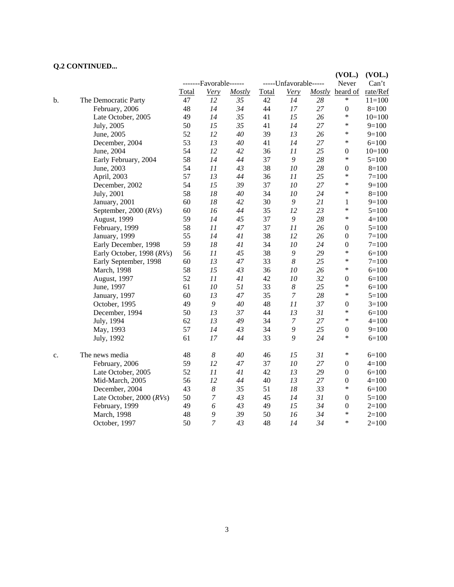# **Q.2 CONTINUED...**

|    |                                |       |                        |        |       |                       |    | (VOL.)           | (VOL.)     |
|----|--------------------------------|-------|------------------------|--------|-------|-----------------------|----|------------------|------------|
|    |                                |       | -------Favorable------ |        |       | -----Unfavorable----- |    | Never            | Can't      |
|    |                                | Total | Very                   | Mostly | Total | <b>Very</b>           |    | Mostly heard of  | rate/Ref   |
| b. | The Democratic Party           | 47    | 12                     | 35     | 42    | 14                    | 28 | *                | $11 = 100$ |
|    | February, 2006                 | 48    | 14                     | 34     | 44    | 17                    | 27 | $\boldsymbol{0}$ | $8=100$    |
|    | Late October, 2005             | 49    | 14                     | 35     | 41    | 15                    | 26 | $\ast$           | $10=100$   |
|    | July, 2005                     | 50    | 15                     | 35     | 41    | 14                    | 27 | $\ast$           | $9=100$    |
|    | June, 2005                     | 52    | 12                     | 40     | 39    | 13                    | 26 | $\ast$           | $9=100$    |
|    | December, 2004                 | 53    | 13                     | 40     | 41    | 14                    | 27 | $\ast$           | $6=100$    |
|    | June, 2004                     | 54    | 12                     | 42     | 36    | 11                    | 25 | $\boldsymbol{0}$ | $10=100$   |
|    | Early February, 2004           | 58    | 14                     | 44     | 37    | 9                     | 28 | $\ast$           | $5=100$    |
|    | June, 2003                     | 54    | 11                     | 43     | 38    | 10                    | 28 | $\boldsymbol{0}$ | $8=100$    |
|    | April, 2003                    | 57    | 13                     | 44     | 36    | 11                    | 25 | $\ast$           | $7 = 100$  |
|    | December, 2002                 | 54    | 15                     | 39     | 37    | 10                    | 27 | $\ast$           | $9=100$    |
|    | July, 2001                     | 58    | 18                     | 40     | 34    | 10                    | 24 | $\ast$           | $8=100$    |
|    | January, 2001                  | 60    | 18                     | 42     | 30    | 9                     | 21 | $\mathbf{1}$     | $9=100$    |
|    | September, 2000 $(RVs)$        | 60    | 16                     | 44     | 35    | 12                    | 23 | *                | $5 = 100$  |
|    | August, 1999                   | 59    | 14                     | 45     | 37    | 9                     | 28 | $\ast$           | $4 = 100$  |
|    | February, 1999                 | 58    | 11                     | 47     | 37    | 11                    | 26 | $\boldsymbol{0}$ | $5 = 100$  |
|    | January, 1999                  | 55    | 14                     | 41     | 38    | 12                    | 26 | $\boldsymbol{0}$ | $7 = 100$  |
|    | Early December, 1998           | 59    | 18                     | 41     | 34    | 10                    | 24 | $\boldsymbol{0}$ | $7 = 100$  |
|    | Early October, 1998 (RVs)      | 56    | 11                     | 45     | 38    | 9                     | 29 | $\ast$           | $6=100$    |
|    | Early September, 1998          | 60    | 13                     | 47     | 33    | 8                     | 25 | $\ast$           | $7 = 100$  |
|    | March, 1998                    | 58    | 15                     | 43     | 36    | 10                    | 26 | $\ast$           | $6=100$    |
|    | August, 1997                   | 52    | 11                     | 41     | 42    | 10                    | 32 | $\boldsymbol{0}$ | $6=100$    |
|    | June, 1997                     | 61    | 10                     | 51     | 33    | $\boldsymbol{8}$      | 25 | $\ast$           | $6=100$    |
|    | January, 1997                  | 60    | 13                     | 47     | 35    | $\boldsymbol{7}$      | 28 | $\ast$           | $5 = 100$  |
|    | October, 1995                  | 49    | $\boldsymbol{9}$       | 40     | 48    | 11                    | 37 | $\boldsymbol{0}$ | $3=100$    |
|    | December, 1994                 | 50    | 13                     | 37     | 44    | 13                    | 31 | $\ast$           | $6=100$    |
|    | July, 1994                     | 62    | 13                     | 49     | 34    | $\boldsymbol{7}$      | 27 | $\ast$           | $4 = 100$  |
|    | May, 1993                      | 57    | 14                     | 43     | 34    | 9                     | 25 | $\boldsymbol{0}$ | $9=100$    |
|    | July, 1992                     | 61    | 17                     | 44     | 33    | 9                     | 24 | $\ast$           | $6=100$    |
| c. | The news media                 | 48    | $\boldsymbol{8}$       | 40     | 46    | 15                    | 31 | $\ast$           | $6=100$    |
|    | February, 2006                 | 59    | 12                     | 47     | 37    | 10                    | 27 | $\boldsymbol{0}$ | $4 = 100$  |
|    | Late October, 2005             | 52    | 11                     | 41     | 42    | 13                    | 29 | $\boldsymbol{0}$ | $6=100$    |
|    | Mid-March, 2005                | 56    | 12                     | 44     | 40    | 13                    | 27 | $\boldsymbol{0}$ | $4 = 100$  |
|    | December, 2004                 | 43    | 8                      | 35     | 51    | 18                    | 33 | $\ast$           | $6=100$    |
|    | Late October, $2000$ ( $RVs$ ) | 50    | $\overline{7}$         | 43     | 45    | 14                    | 31 | $\theta$         | $5=100$    |
|    | February, 1999                 | 49    | 6                      | 43     | 49    | 15                    | 34 | $\boldsymbol{0}$ | $2=100$    |
|    | March, 1998                    | 48    | 9                      | 39     | 50    | 16                    | 34 | $\ast$           | $2=100$    |
|    | October, 1997                  | 50    | $\overline{7}$         | 43     | 48    | 14                    | 34 | *                | $2=100$    |

3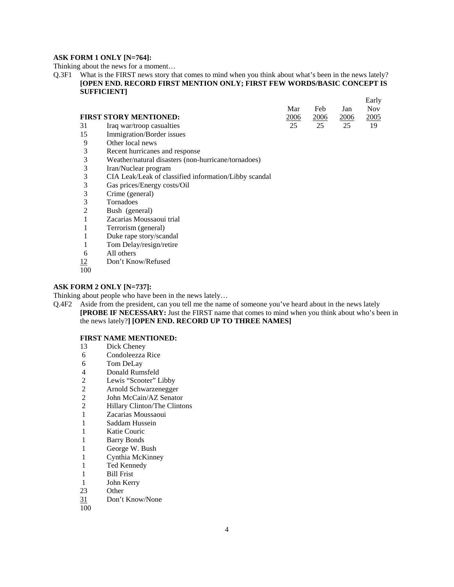#### **ASK FORM 1 ONLY [N=764]:**

Thinking about the news for a moment…

Q.3F1 What is the FIRST news story that comes to mind when you think about what's been in the news lately? **[OPEN END. RECORD FIRST MENTION ONLY; FIRST FEW WORDS/BASIC CONCEPT IS SUFFICIENT]**

|                              |               |      |      | Early       |
|------------------------------|---------------|------|------|-------------|
|                              | Mar           | Feb  | Jan  | Nov.        |
| FIRST STORY MENTIONED:       | <u> 2006 </u> | 2006 | 2006 | <u>2005</u> |
| 31 Iraq war/troop casualties | 25            | 25   | 25   | 19          |

- 15 Immigration/Border issues
- 9 Other local news
- 3 Recent hurricanes and response<br>3 Weather/natural disasters (non-
- 3 Weather/natural disasters (non-hurricane/tornadoes)
- 3 Iran/Nuclear program
- 3 CIA Leak/Leak of classified information/Libby scandal
- 3 Gas prices/Energy costs/Oil
- 3 Crime (general)
- 3 Tornadoes
- 2 Bush (general)
- 1 Zacarias Moussaoui trial
- 1 Terrorism (general)
- 1 Duke rape story/scandal
- 1 Tom Delay/resign/retire
- 6 All others
- 12 Don't Know/Refused
- 100

#### **ASK FORM 2 ONLY [N=737]:**

Thinking about people who have been in the news lately…

Q.4F2 Aside from the president, can you tell me the name of someone you've heard about in the news lately **[PROBE IF NECESSARY:** Just the FIRST name that comes to mind when you think about who's been in the news lately?**] [OPEN END. RECORD UP TO THREE NAMES]**

#### **FIRST NAME MENTIONED:**

- 13 Dick Cheney
- 6 Condoleezza Rice
- 6 Tom DeLay
- 4 Donald Rumsfeld<br>2 Lewis "Scooter" I
- 
- 2 Lewis "Scooter" Libby<br>2 Arnold Schwarzenegger 2 Arnold Schwarzenegger
- 
- 2 John McCain/AZ Senator<br>2 Hillary Clinton/The Clinton Hillary Clinton/The Clintons
- 1 Zacarias Moussaoui
- 1 Saddam Hussein
- 1 Katie Couric
- 1 Barry Bonds
- 1 George W. Bush
- 1 Cynthia McKinney
- 1 Ted Kennedy
- 1 Bill Frist
- 1 John Kerry
- 23 Other
- 31 Don't Know/None
- 100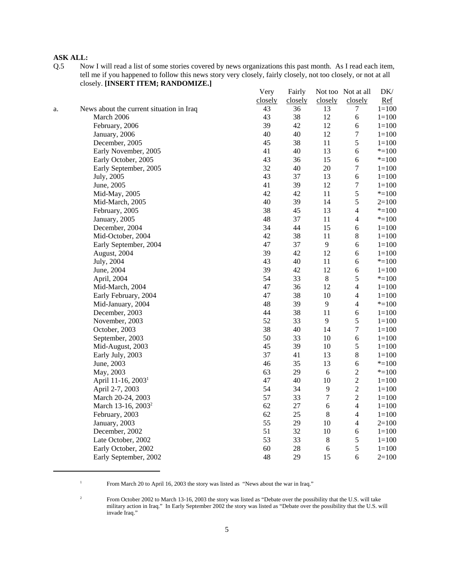Q.5 Now I will read a list of some stories covered by news organizations this past month. As I read each item, tell me if you happened to follow this news story very closely, fairly closely, not too closely, or not at all closely. **[INSERT ITEM; RANDOMIZE.]** Very Fairly Not too Not at all DK/

|    |                                          | very    | <b>Fairly</b> |                | NOT TOO NOT AT ALL | DK/       |
|----|------------------------------------------|---------|---------------|----------------|--------------------|-----------|
|    |                                          | closely | closely       | closely        | closely            | Ref       |
| a. | News about the current situation in Iraq | 43      | 36            | 13             | 7                  | $1 = 100$ |
|    | March 2006                               | 43      | 38            | 12             | $\epsilon$         | $1 = 100$ |
|    | February, 2006                           | 39      | 42            | 12             | $\sqrt{6}$         | $1 = 100$ |
|    | January, 2006                            | 40      | 40            | 12             | $\boldsymbol{7}$   | $1 = 100$ |
|    | December, 2005                           | 45      | 38            | 11             | 5                  | $1 = 100$ |
|    | Early November, 2005                     | 41      | 40            | 13             | 6                  | $* = 100$ |
|    | Early October, 2005                      | 43      | 36            | 15             | 6                  | $* = 100$ |
|    | Early September, 2005                    | 32      | 40            | $20\,$         | $\boldsymbol{7}$   | $1 = 100$ |
|    | July, 2005                               | 43      | 37            | 13             | 6                  | $1 = 100$ |
|    | June, 2005                               | 41      | 39            | 12             | $\boldsymbol{7}$   | $1 = 100$ |
|    | Mid-May, 2005                            | 42      | 42            | 11             | 5                  | $* = 100$ |
|    | Mid-March, 2005                          | 40      | 39            | 14             | 5                  | $2=100$   |
|    | February, 2005                           | 38      | 45            | 13             | $\overline{4}$     | $* = 100$ |
|    | January, 2005                            | 48      | 37            | 11             | $\overline{4}$     | $* = 100$ |
|    | December, 2004                           | 34      | 44            | 15             | $\sqrt{6}$         | $1 = 100$ |
|    | Mid-October, 2004                        | 42      | 38            | 11             | $8\,$              | $1 = 100$ |
|    | Early September, 2004                    | 47      | 37            | $\overline{9}$ | $\sqrt{6}$         | $1 = 100$ |
|    | August, 2004                             | 39      | 42            | 12             | $\sqrt{6}$         | $1 = 100$ |
|    | July, 2004                               | 43      | 40            | 11             | 6                  | $* = 100$ |
|    | June, 2004                               | 39      | 42            | 12             | $\sqrt{6}$         | $1 = 100$ |
|    | April, 2004                              | 54      | 33            | 8              | 5                  | $* = 100$ |
|    | Mid-March, 2004                          | 47      | 36            | 12             | $\overline{4}$     | $1 = 100$ |
|    | Early February, 2004                     | 47      | 38            | 10             | $\overline{4}$     | $1 = 100$ |
|    | Mid-January, 2004                        | 48      | 39            | 9              | $\overline{4}$     | $* = 100$ |
|    | December, 2003                           | 44      | 38            | 11             | $\sqrt{6}$         | $1 = 100$ |
|    | November, 2003                           | 52      | 33            | $\mathbf{9}$   | 5                  | $1 = 100$ |
|    | October, 2003                            | 38      | 40            | 14             | $\boldsymbol{7}$   | $1 = 100$ |
|    | September, 2003                          | 50      | 33            | 10             | $\sqrt{6}$         | $1 = 100$ |
|    | Mid-August, 2003                         | 45      | 39            | 10             | 5                  | $1 = 100$ |
|    | Early July, 2003                         | 37      | 41            | 13             | $8\,$              | $1 = 100$ |
|    | June, 2003                               | 46      | 35            | 13             | $\sqrt{6}$         | $* = 100$ |
|    | May, 2003                                | 63      | 29            | $\sqrt{6}$     | $\sqrt{2}$         | $* = 100$ |
|    | April 11-16, 2003 <sup>1</sup>           | 47      | 40            | 10             | $\sqrt{2}$         | $1 = 100$ |
|    | April 2-7, 2003                          | 54      | 34            | $\overline{9}$ | $\sqrt{2}$         | $1 = 100$ |
|    | March 20-24, 2003                        | 57      | 33            | $\tau$         | $\sqrt{2}$         | $1 = 100$ |
|    | March 13-16, 2003 <sup>2</sup>           | 62      | 27            | $\sqrt{6}$     | $\overline{4}$     | $1 = 100$ |
|    | February, 2003                           | 62      | 25            | $\,8\,$        | $\overline{4}$     | $1 = 100$ |
|    | January, 2003                            | 55      | 29            | 10             | $\overline{4}$     | $2=100$   |
|    | December, 2002                           | 51      | 32            | 10             | $\sqrt{6}$         | $1 = 100$ |
|    | Late October, 2002                       | 53      | 33            | $\,8\,$        | $\sqrt{5}$         | $1 = 100$ |
|    | Early October, 2002                      | 60      | 28            | $\sqrt{6}$     | 5                  | $1 = 100$ |
|    | Early September, 2002                    | 48      | 29            | 15             | 6                  | $2=100$   |
|    |                                          |         |               |                |                    |           |

<sup>&</sup>lt;sup>1</sup> From March 20 to April 16, 2003 the story was listed as "News about the war in Iraq."

<sup>&</sup>lt;sup>2</sup> From October 2002 to March 13-16, 2003 the story was listed as "Debate over the possibility that the U.S. will take military action in Iraq." In Early September 2002 the story was listed as "Debate over the possibility that the U.S. will invade Iraq."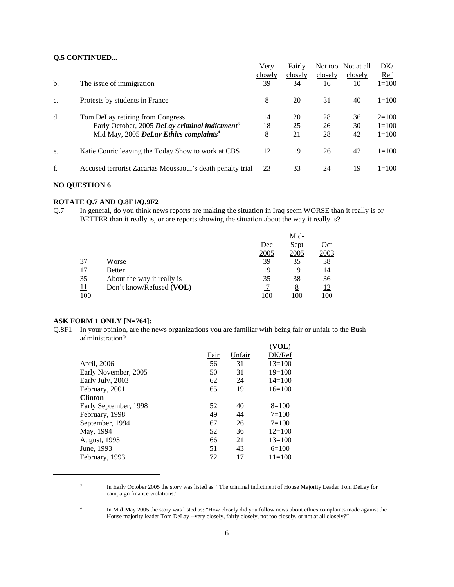# **Q.5 CONTINUED...**

|    |                                                            | Very    | Fairly  |         | Not too Not at all | DK/        |
|----|------------------------------------------------------------|---------|---------|---------|--------------------|------------|
|    |                                                            | closely | closely | closely | closely            | <u>Ref</u> |
| b. | The issue of immigration                                   | 39      | 34      | 16      | 10                 | $1 = 100$  |
| c. | Protests by students in France                             | 8       | 20      | 31      | 40                 | $1 = 100$  |
| d. | Tom DeLay retiring from Congress                           | 14      | 20      | 28      | 36                 | $2=100$    |
|    | Early October, 2005 DeLay criminal indictment <sup>3</sup> | 18      | 25      | 26      | 30                 | $1 = 100$  |
|    | Mid May, 2005 DeLay Ethics complaints <sup>4</sup>         | 8       | 21      | 28      | 42                 | $1 = 100$  |
| e. | Katie Couric leaving the Today Show to work at CBS         | 12      | 19      | 26      | 42                 | $1 = 100$  |
| f. | Accused terrorist Zacarias Moussaoui's death penalty trial | 23      | 33      | 24      | 19                 | $1 = 100$  |

#### **NO QUESTION 6**

#### **ROTATE Q.7 AND Q.8F1/Q.9F2**

Q.7 In general, do you think news reports are making the situation in Iraq seem WORSE than it really is or BETTER than it really is, or are reports showing the situation about the way it really is?

|            |                            |      | Mid- |            |  |
|------------|----------------------------|------|------|------------|--|
|            |                            | Dec  | Sept | Oct        |  |
|            |                            | 2005 | 2005 | 2003       |  |
| 37         | Worse                      | 39   | 35   | 38         |  |
| 17         | <b>Better</b>              | 19   | 19   | 14         |  |
| 35         | About the way it really is | 35   | 38   | 36         |  |
| <u> 11</u> | Don't know/Refused (VOL)   |      | 8    | <u> 12</u> |  |
| 100        |                            | 100  | 100  | 100        |  |

# **ASK FORM 1 ONLY [N=764]:**

Q.8F1 In your opinion, are the news organizations you are familiar with being fair or unfair to the Bush administration?

|                       |      |        | (VOL)      |
|-----------------------|------|--------|------------|
|                       | Fair | Unfair | DK/Ref     |
| April, 2006           | 56   | 31     | $13 = 100$ |
| Early November, 2005  | 50   | 31     | $19=100$   |
| Early July, 2003      | 62   | 24     | $14 = 100$ |
| February, 2001        | 65   | 19     | $16=100$   |
| <b>Clinton</b>        |      |        |            |
| Early September, 1998 | 52   | 40     | $8=100$    |
| February, 1998        | 49   | 44     | $7 = 100$  |
| September, 1994       | 67   | 26     | $7 = 100$  |
| May, 1994             | 52   | 36     | $12 = 100$ |
| August, 1993          | 66   | 21     | $13 = 100$ |
| June, 1993            | 51   | 43     | $6=100$    |
| February, 1993        | 72   | 17     | $11 = 100$ |
|                       |      |        |            |

<sup>&</sup>lt;sup>3</sup> In Early October 2005 the story was listed as: "The criminal indictment of House Majority Leader Tom DeLay for campaign finance violations."

<sup>4</sup> In Mid-May 2005 the story was listed as: "How closely did you follow news about ethics complaints made against the House majority leader Tom DeLay --very closely, fairly closely, not too closely, or not at all closely?"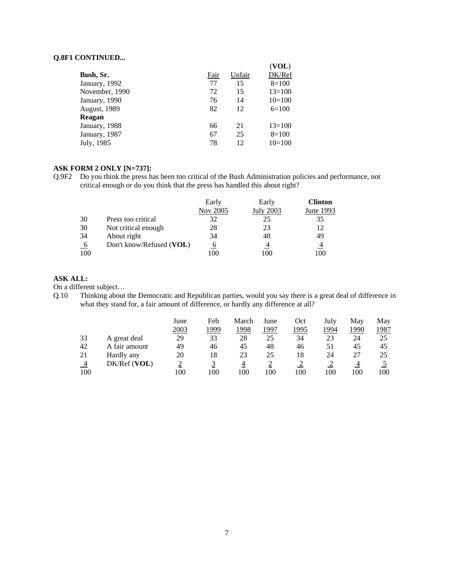## **Q.8F1 CONTINUED...**

|                |      |        | (VOL)    |
|----------------|------|--------|----------|
| Bush, Sr.      | Fair | Unfair | DK/Ref   |
| January, 1992  | 77   | 15     | $8=100$  |
| November, 1990 | 72   | 15     | $13=100$ |
| January, 1990  | 76   | 14     | $10=100$ |
| August, 1989   | 82   | 12     | $6=100$  |
| Reagan         |      |        |          |
| January, 1988  | 66   | 21     | $13=100$ |
| January, 1987  | 67   | 25     | $8=100$  |
| July, 1985     | 78   | 12     | $10=100$ |
|                |      |        |          |

# **ASK FORM 2 ONLY [N=737]:**

Q.9F2 Do you think the press has been too critical of the Bush Administration policies and performance, not critical enough or do you think that the press has handled this about right?

|                |                          | Early       | Early     | <b>Clinton</b> |
|----------------|--------------------------|-------------|-----------|----------------|
|                |                          | Nov 2005    | July 2003 | June 1993      |
| 30             | Press too critical       | 32          | 25        | 35             |
| 30             | Not critical enough      | 28          | 23        | 12             |
| 34             | About right              | 34          | 48        | 49             |
| 6 <sup>6</sup> | Don't know/Refused (VOL) | $\mathbf b$ |           | 4              |
| 100            |                          | 100         | 100       | 100            |

# **ASK ALL:**

On a different subject…

Q.10 Thinking about the Democratic and Republican parties, would you say there is a great deal of difference in what they stand for, a fair amount of difference, or hardly any difference at all?

|     |               | June | Feb  | March | June | Oct  | July | May  | May  |
|-----|---------------|------|------|-------|------|------|------|------|------|
|     |               | 2003 | 1999 | 1998  | 1997 | 1995 | 1994 | 1990 | 1987 |
| 33  | A great deal  | 29   | 33   | 28    | 25   | 34   | 23   | 24   | 25   |
| 42  | A fair amount | 49   | 46   | 45    | 48   | 46   | 51   | 45   | 45   |
| 21  | Hardly any    | 20   | 18   | 23    | 25   | 18   | 24   |      | 25   |
| 4   | DK/Ref (VOL)  |      |      | 4     |      |      |      |      |      |
| 100 |               | 100  | 100  | 100   | 100  | 100  | 100  | 100  | 100  |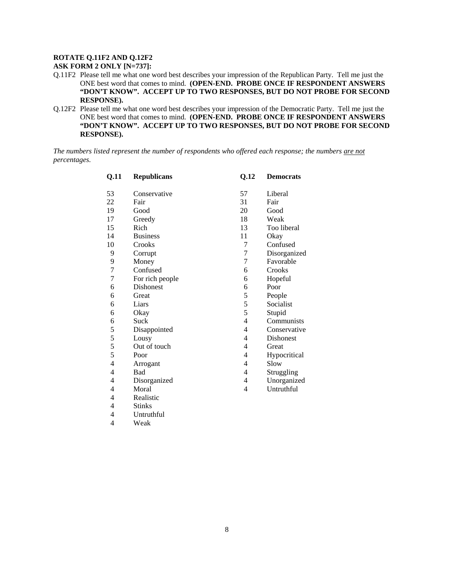#### **ROTATE Q.11F2 AND Q.12F2**

**ASK FORM 2 ONLY [N=737]:**

- Q.11F2 Please tell me what one word best describes your impression of the Republican Party. Tell me just the ONE best word that comes to mind. **(OPEN-END. PROBE ONCE IF RESPONDENT ANSWERS "DON'T KNOW". ACCEPT UP TO TWO RESPONSES, BUT DO NOT PROBE FOR SECOND RESPONSE).**
- Q.12F2 Please tell me what one word best describes your impression of the Democratic Party. Tell me just the ONE best word that comes to mind. **(OPEN-END. PROBE ONCE IF RESPONDENT ANSWERS "DON'T KNOW". ACCEPT UP TO TWO RESPONSES, BUT DO NOT PROBE FOR SECOND RESPONSE).**

*The numbers listed represent the number of respondents who offered each response; the numbers are not percentages.*

| Q.11           | <b>Republicans</b> | Q.12           | <b>Democrats</b> |
|----------------|--------------------|----------------|------------------|
| 53             | Conservative       | 57             | Liberal          |
| 22             | Fair               | 31             | Fair             |
| 19             | Good               | 20             | Good             |
| 17             | Greedy             | 18             | Weak             |
| 15             | Rich               | 13             | Too liberal      |
| 14             | <b>Business</b>    | 11             | Okay             |
| 10             | Crooks             | 7              | Confused         |
| 9              | Corrupt            | 7              | Disorganized     |
| 9              | Money              | $\overline{7}$ | Favorable        |
| 7              | Confused           | 6              | Crooks           |
| 7              | For rich people    | 6              | Hopeful          |
| 6              | <b>Dishonest</b>   | 6              | Poor             |
| 6              | Great              | 5              | People           |
| 6              | Liars              | 5              | Socialist        |
| 6              | Okay               | 5              | Stupid           |
| 6              | Suck               | 4              | Communists       |
| 5              | Disappointed       | 4              | Conservative     |
| 5              | Lousy              | $\overline{4}$ | <b>Dishonest</b> |
| 5              | Out of touch       | 4              | Great            |
| 5              | Poor               | 4              | Hypocritical     |
| $\overline{4}$ | Arrogant           | 4              | Slow             |
| 4              | Bad                | 4              | Struggling       |
| 4              | Disorganized       | 4              | Unorganized      |
| 4              | Moral              | 4              | Untruthful       |
| 4              | Realistic          |                |                  |
| 4              | <b>Stinks</b>      |                |                  |
| 4              | Untruthful         |                |                  |
| $\overline{4}$ | Weak               |                |                  |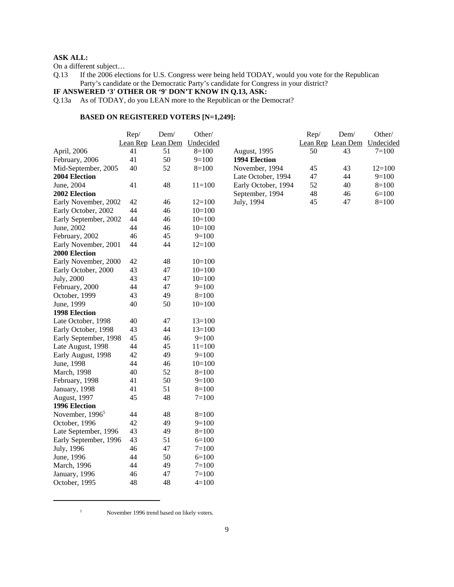On a different subject…

Q.13 If the 2006 elections for U.S. Congress were being held TODAY, would you vote for the Republican Party's candidate or the Democratic Party's candidate for Congress in your district?

# **IF ANSWERED '3' OTHER OR '9' DON'T KNOW IN Q.13, ASK:**

Q.13a As of TODAY, do you LEAN more to the Republican or the Democrat?

# **BASED ON REGISTERED VOTERS [N=1,249]:**

|                             | Rep/ | Dem/              | Other/     |                     | Rep/ | Dem/              | Other/    |
|-----------------------------|------|-------------------|------------|---------------------|------|-------------------|-----------|
|                             |      | Lean Rep Lean Dem | Undecided  |                     |      | Lean Rep Lean Dem | Undecided |
| April, 2006                 | 41   | 51                | $8=100$    | August, 1995        | 50   | 43                | $7 = 100$ |
| February, 2006              | 41   | 50                | $9=100$    | 1994 Election       |      |                   |           |
| Mid-September, 2005         | 40   | 52                | $8=100$    | November, 1994      | 45   | 43                | $12=100$  |
| 2004 Election               |      |                   |            | Late October, 1994  | 47   | 44                | $9=100$   |
| June, 2004                  | 41   | 48                | $11 = 100$ | Early October, 1994 | 52   | 40                | $8=100$   |
| 2002 Election               |      |                   |            | September, 1994     | 48   | 46                | $6=100$   |
| Early November, 2002        | 42   | 46                | $12=100$   | July, 1994          | 45   | 47                | $8=100$   |
| Early October, 2002         | 44   | 46                | $10=100$   |                     |      |                   |           |
| Early September, 2002       | 44   | 46                | $10=100$   |                     |      |                   |           |
| June, 2002                  | 44   | 46                | $10=100$   |                     |      |                   |           |
| February, 2002              | 46   | 45                | $9=100$    |                     |      |                   |           |
| Early November, 2001        | 44   | 44                | $12=100$   |                     |      |                   |           |
| 2000 Election               |      |                   |            |                     |      |                   |           |
| Early November, 2000        | 42   | 48                | $10=100$   |                     |      |                   |           |
| Early October, 2000         | 43   | 47                | $10=100$   |                     |      |                   |           |
| July, 2000                  | 43   | 47                | $10=100$   |                     |      |                   |           |
| February, 2000              | 44   | 47                | $9=100$    |                     |      |                   |           |
| October, 1999               | 43   | 49                | $8=100$    |                     |      |                   |           |
| June, 1999                  | 40   | 50                | $10=100$   |                     |      |                   |           |
| 1998 Election               |      |                   |            |                     |      |                   |           |
| Late October, 1998          | 40   | 47                | $13=100$   |                     |      |                   |           |
| Early October, 1998         | 43   | 44                | $13=100$   |                     |      |                   |           |
| Early September, 1998       | 45   | 46                | $9=100$    |                     |      |                   |           |
| Late August, 1998           | 44   | 45                | $11=100$   |                     |      |                   |           |
| Early August, 1998          | 42   | 49                | $9=100$    |                     |      |                   |           |
| June, 1998                  | 44   | 46                | $10=100$   |                     |      |                   |           |
| March, 1998                 | 40   | 52                | $8=100$    |                     |      |                   |           |
| February, 1998              | 41   | 50                | $9=100$    |                     |      |                   |           |
| January, 1998               | 41   | 51                | $8=100$    |                     |      |                   |           |
| August, 1997                | 45   | 48                | $7 = 100$  |                     |      |                   |           |
| 1996 Election               |      |                   |            |                     |      |                   |           |
| November, 1996 <sup>5</sup> | 44   | 48                | $8=100$    |                     |      |                   |           |
| October, 1996               | 42   | 49                | $9=100$    |                     |      |                   |           |
| Late September, 1996        | 43   | 49                | $8=100$    |                     |      |                   |           |
| Early September, 1996       | 43   | 51                | $6=100$    |                     |      |                   |           |
| July, 1996                  | 46   | 47                | $7 = 100$  |                     |      |                   |           |
| June, 1996                  | 44   | 50                | $6=100$    |                     |      |                   |           |
| March, 1996                 | 44   | 49                | $7=100$    |                     |      |                   |           |
| January, 1996               | 46   | 47                | $7 = 100$  |                     |      |                   |           |
| October, 1995               | 48   | 48                | $4=100$    |                     |      |                   |           |

<sup>5</sup> November 1996 trend based on likely voters.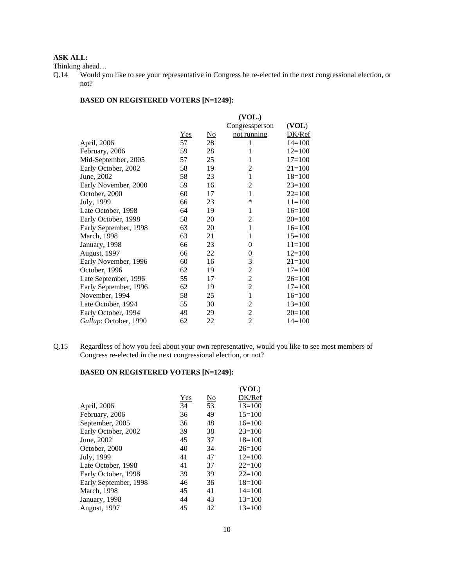Thinking ahead…

# **BASED ON REGISTERED VOTERS [N=1249]:**

|                       |       |                           | (VOL.)         |            |
|-----------------------|-------|---------------------------|----------------|------------|
|                       |       |                           | Congressperson | (VOL)      |
|                       | $Yes$ | $\underline{\mathrm{No}}$ | not running    | DK/Ref     |
| April, 2006           | 57    | 28                        | 1              | $14=100$   |
| February, 2006        | 59    | 28                        | 1              | $12=100$   |
| Mid-September, 2005   | 57    | 25                        | 1              | $17=100$   |
| Early October, 2002   | 58    | 19                        | 2              | $21 = 100$ |
| June, 2002            | 58    | 23                        | 1              | $18=100$   |
| Early November, 2000  | 59    | 16                        | $\overline{2}$ | $23=100$   |
| October, 2000         | 60    | 17                        | 1              | $22=100$   |
| July, 1999            | 66    | 23                        | *              | $11=100$   |
| Late October, 1998    | 64    | 19                        | 1              | $16=100$   |
| Early October, 1998   | 58    | 20                        | 2              | $20=100$   |
| Early September, 1998 | 63    | 20                        | $\mathbf{1}$   | $16=100$   |
| March, 1998           | 63    | 21                        | 1              | $15=100$   |
| January, 1998         | 66    | 23                        | 0              | $11=100$   |
| August, 1997          | 66    | 22                        | 0              | $12=100$   |
| Early November, 1996  | 60    | 16                        | 3              | $21=100$   |
| October, 1996         | 62    | 19                        | 2              | $17=100$   |
| Late September, 1996  | 55    | 17                        | 2              | $26=100$   |
| Early September, 1996 | 62    | 19                        | $\overline{c}$ | $17=100$   |
| November, 1994        | 58    | 25                        | $\mathbf{1}$   | $16=100$   |
| Late October, 1994    | 55    | 30                        | $\overline{2}$ | $13=100$   |
| Early October, 1994   | 49    | 29                        | $\overline{c}$ | $20=100$   |
| Gallup: October, 1990 | 62    | 22                        | $\overline{2}$ | $14=100$   |

Q.15 Regardless of how you feel about your own representative, would you like to see most members of Congress re-elected in the next congressional election, or not?

# **BASED ON REGISTERED VOTERS [N=1249]:**

|                       |     |    | (VOL)      |
|-----------------------|-----|----|------------|
|                       | Yes | No | DK/Ref     |
| April, 2006           | 34  | 53 | $13 = 100$ |
| February, 2006        | 36  | 49 | $15=100$   |
| September, 2005       | 36  | 48 | $16=100$   |
| Early October, 2002   | 39  | 38 | $23=100$   |
| June, 2002            | 45  | 37 | $18=100$   |
| October, 2000         | 40  | 34 | $26=100$   |
| July, 1999            | 41  | 47 | $12 = 100$ |
| Late October, 1998    | 41  | 37 | $22=100$   |
| Early October, 1998   | 39  | 39 | $22 = 100$ |
| Early September, 1998 | 46  | 36 | $18=100$   |
| March, 1998           | 45  | 41 | $14 = 100$ |
| January, 1998         | 44  | 43 | $13 = 100$ |
| <b>August, 1997</b>   | 45  | 42 | $13 = 100$ |

Q.14 Would you like to see your representative in Congress be re-elected in the next congressional election, or not?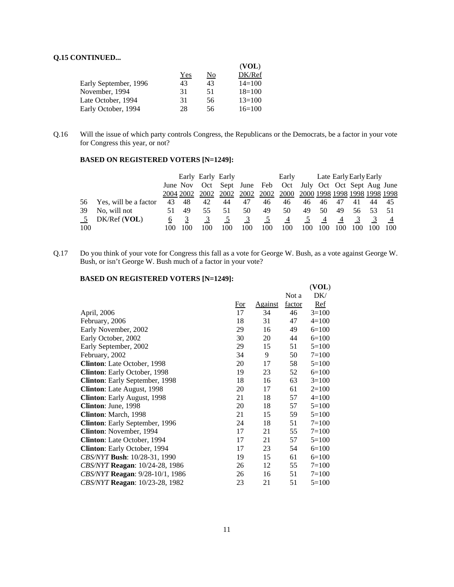# **Q.15 CONTINUED...**

|                       |     |    | (VOL)      |
|-----------------------|-----|----|------------|
|                       | Yes | No | DK/Ref     |
| Early September, 1996 | 43  | 43 | $14 = 100$ |
| November, 1994        | 31  | 51 | $18=100$   |
| Late October, 1994    | 31  | 56 | $13=100$   |
| Early October, 1994   | 28  | 56 | $16=100$   |

Q.16 Will the issue of which party controls Congress, the Republicans or the Democrats, be a factor in your vote for Congress this year, or not?

# **BASED ON REGISTERED VOTERS [N=1249]:**

|     |                       |    |          | Early Early Early |      |     |     | Early                                            | Late Early Early Early |    |                |     |  |     |
|-----|-----------------------|----|----------|-------------------|------|-----|-----|--------------------------------------------------|------------------------|----|----------------|-----|--|-----|
|     |                       |    | June Nov |                   |      |     |     | Oct Sept June Feb Oct July Oct Oct Sept Aug June |                        |    |                |     |  |     |
|     |                       |    |          | 2004 2002 2002    | 2002 |     |     | 2002 2002 2000 2000 1998 1998 1998 1998 1998     |                        |    |                |     |  |     |
| 56  | Yes, will be a factor | 43 | 48       | 42                | 44   | 47  | 46  | 46                                               | 46                     | 46 | 47             | 41  |  | -45 |
| 39  | No, will not          |    | 49       |                   |      | 50  | 49  | 50                                               | 49                     | 50 | 49             | 56. |  |     |
|     | $DK/Ref$ (VOL)        | 6  |          |                   |      | 3   |     | 4                                                |                        | 4  | $\overline{4}$ | 3   |  |     |
| 100 |                       |    |          | 100               |      | .00 | 100 | 100                                              |                        |    | 100            |     |  | 100 |

Q.17 Do you think of your vote for Congress this fall as a vote for George W. Bush, as a vote against George W. Bush, or isn't George W. Bush much of a factor in your vote?

# **BASED ON REGISTERED VOTERS [N=1249]:**

|                                     |     |                |        | (VOL)     |
|-------------------------------------|-----|----------------|--------|-----------|
|                                     |     |                | Not a  | DK/       |
|                                     | For | <b>Against</b> | factor | Ref       |
| April, 2006                         | 17  | 34             | 46     | $3=100$   |
| February, 2006                      | 18  | 31             | 47     | $4=100$   |
| Early November, 2002                | 29  | 16             | 49     | $6=100$   |
| Early October, 2002                 | 30  | 20             | 44     | $6=100$   |
| Early September, 2002               | 29  | 15             | 51     | $5=100$   |
| February, 2002                      | 34  | 9              | 50     | $7 = 100$ |
| <b>Clinton:</b> Late October, 1998  | 20  | 17             | 58     | $5=100$   |
| Clinton: Early October, 1998        | 19  | 23             | 52     | $6=100$   |
| Clinton: Early September, 1998      | 18  | 16             | 63     | $3=100$   |
| Clinton: Late August, 1998          | 20  | 17             | 61     | $2=100$   |
| Clinton: Early August, 1998         | 21  | 18             | 57     | $4=100$   |
| Clinton: June, 1998                 | 20  | 18             | 57     | $5=100$   |
| Clinton: March, 1998                | 21  | 15             | 59     | $5=100$   |
| Clinton: Early September, 1996      | 24  | 18             | 51     | $7=100$   |
| Clinton: November, 1994             | 17  | 21             | 55     | $7 = 100$ |
| Clinton: Late October, 1994         | 17  | 21             | 57     | $5=100$   |
| <b>Clinton:</b> Early October, 1994 | 17  | 23             | 54     | $6=100$   |
| CBS/NYT Bush: 10/28-31, 1990        | 19  | 15             | 61     | $6=100$   |
| CBS/NYT Reagan: 10/24-28, 1986      | 26  | 12             | 55     | $7=100$   |
| CBS/NYT Reagan: 9/28-10/1, 1986     | 26  | 16             | 51     | $7=100$   |
| CBS/NYT Reagan: 10/23-28, 1982      | 23  | 21             | 51     | $5=100$   |
|                                     |     |                |        |           |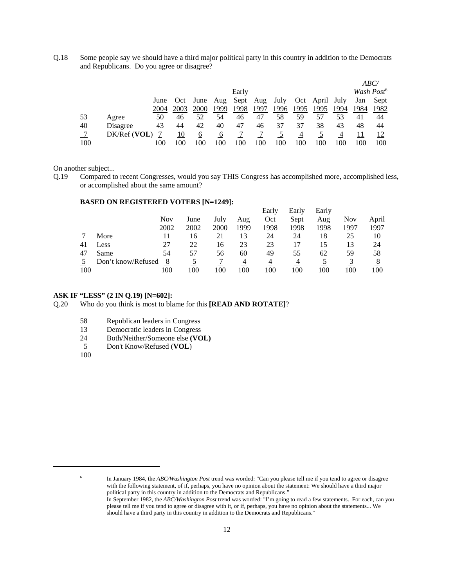Q.18 Some people say we should have a third major political party in this country in addition to the Democrats and Republicans. Do you agree or disagree?

|     |              |      |      |                   |          |       |          |      |      |                |      |      | <i>ABC/</i>            |
|-----|--------------|------|------|-------------------|----------|-------|----------|------|------|----------------|------|------|------------------------|
|     |              |      |      |                   |          | Early |          |      |      |                |      |      | Wash Post <sup>6</sup> |
|     |              | June |      | Oct June Aug Sept |          |       | Aug July |      |      | Oct April July |      | Jan  | Sept                   |
|     |              | 2004 | 2003 | 2000              | 1999     | 1998  | 1997     | 1996 | 1995 | 1995           | 1994 | 1984 | 1982                   |
| 53  | Agree        | 50   | 46   | 52                | 54       | 46    | 47       | 58   | 59   | 57             | 53   | 41   | 44                     |
| 40  | Disagree     | 43   | 44   | 42                | 40       | 47    | 46       | 37   | 37   | 38             | 43   | 48   | 44                     |
|     | DK/Ref (VOL) |      | 10   | 6                 | $\sigma$ |       |          |      | 4    |                | 4    | 11   |                        |
| 100 |              | 100  | 100  | 100               | 100      |       | 100      | 100  | 100  | 100            | 100  | 100  | 100                    |

On another subject...

Q.19 Compared to recent Congresses, would you say THIS Congress has accomplished more, accomplished less, or accomplished about the same amount?

#### **BASED ON REGISTERED VOTERS [N=1249]:**

|     |                    |            |      |      |      | Early | Early | Early |      |       |
|-----|--------------------|------------|------|------|------|-------|-------|-------|------|-------|
|     |                    | <b>Nov</b> | June | July | Aug  | Oct   | Sept  | Aug   | Nov  | April |
|     |                    | 2002       | 2002 | 2000 | 1999 | 1998  | 1998  | 1998  | 1997 | 1997  |
|     | More               | 11         | 16   | 21   | 13   | 24    | 24    | 18    | 25   | 10    |
| 41  | Less               | 27         | 22   | 16   | 23   | 23    |       |       | 13   | 24    |
| 47  | Same               | 54         | 57   | 56   | 60   | 49    | 55    | 62    | 59   | 58    |
|     | Don't know/Refused | 8          |      |      |      | 4     |       |       |      | 8     |
| 100 |                    | 100        | 100  | 100  | 100  | 100   | .00   | 100   | 100  | 100   |

#### **ASK IF "LESS" (2 IN Q.19) [N=602]:**

Q.20 Who do you think is most to blame for this **[READ AND ROTATE]**?

- 58 Republican leaders in Congress
- 13 Democratic leaders in Congress
- 24 Both/Neither/Someone else **(VOL)**
- 5 Don't Know/Refused (**VOL**)  $\frac{5}{100}$

<sup>6</sup> In January 1984, the *ABC/Washington Post* trend was worded: "Can you please tell me if you tend to agree or disagree with the following statement, of if, perhaps, you have no opinion about the statement: We should have a third major political party in this country in addition to the Democrats and Republicans."

In September 1982, the *ABC/Washington Post* trend was worded: "I'm going to read a few statements. For each, can you please tell me if you tend to agree or disagree with it, or if, perhaps, you have no opinion about the statements... We should have a third party in this country in addition to the Democrats and Republicans."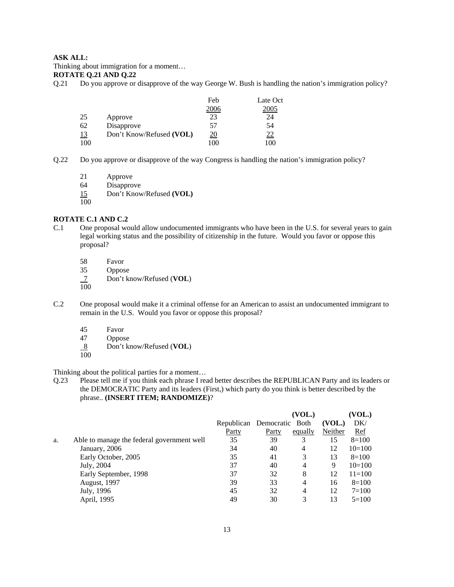Thinking about immigration for a moment…

#### **ROTATE Q.21 AND Q.22**

Q.21 Do you approve or disapprove of the way George W. Bush is handling the nation's immigration policy?

|           |                          | Feb       | Late Oct  |
|-----------|--------------------------|-----------|-----------|
|           |                          | 2006      | 2005      |
| 25        | Approve                  | 23        | 24        |
| 62        | Disapprove               | 57        | 54        |
| <u>13</u> | Don't Know/Refused (VOL) | <u>20</u> | <u>22</u> |
| 100       |                          | 100       | 100       |

- Q.22 Do you approve or disapprove of the way Congress is handling the nation's immigration policy?
	- 21 Approve

64 Disapprove

- 15 Don't Know/Refused **(VOL)**
- 100

#### **ROTATE C.1 AND C.2**

- C.1 One proposal would allow undocumented immigrants who have been in the U.S. for several years to gain legal working status and the possibility of citizenship in the future. Would you favor or oppose this proposal?
	- 58 Favor<br>35 Oppos
	- **Oppose**
	- 7 Don't know/Refused (**VOL**)  $\frac{7}{100}$
	-
- C.2 One proposal would make it a criminal offense for an American to assist an undocumented immigrant to remain in the U.S. Would you favor or oppose this proposal?
	- 45 Favor
	- 47 Oppose
	- 8 Don't know/Refused (**VOL**)
	- $\overline{100}$

Thinking about the political parties for a moment…

Q.23 Please tell me if you think each phrase I read better describes the REPUBLICAN Party and its leaders or the DEMOCRATIC Party and its leaders (First,) which party do you think is better described by the phrase.. **(INSERT ITEM; RANDOMIZE)**?

|    |                                            |                            |       | (VOL.)  |         | VOL.)      |
|----|--------------------------------------------|----------------------------|-------|---------|---------|------------|
|    |                                            | Republican Democratic Both |       |         | (VOL.)  | DK/        |
|    |                                            | Party                      | Party | equally | Neither | <u>Ref</u> |
| a. | Able to manage the federal government well | 35                         | 39    | 3       | 15      | $8=100$    |
|    | January, 2006                              | 34                         | 40    | 4       | 12      | $10=100$   |
|    | Early October, 2005                        | 35                         | 41    | 3       | 13      | $8=100$    |
|    | July, 2004                                 | 37                         | 40    | 4       | 9       | $10=100$   |
|    | Early September, 1998                      | 37                         | 32    | 8       | 12      | $11 = 100$ |
|    | <b>August, 1997</b>                        | 39                         | 33    | 4       | 16      | $8=100$    |
|    | July, 1996                                 | 45                         | 32    | 4       | 12      | $7 = 100$  |
|    | April, 1995                                | 49                         | 30    | 3       | 13      | $5=100$    |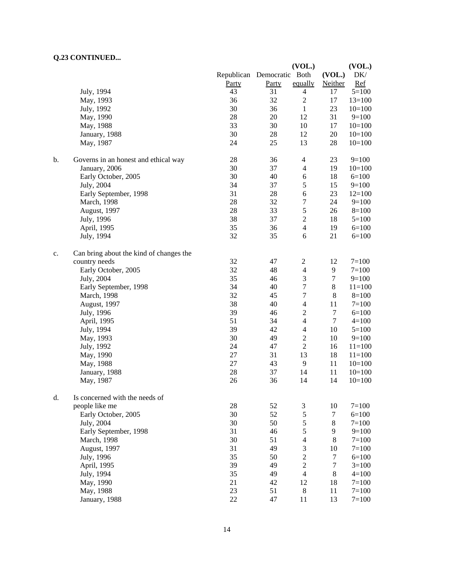# **Q.23 CONTINUED...**

|    |                                         |                            |       | (VOL.)                   |         | (VOL.)     |
|----|-----------------------------------------|----------------------------|-------|--------------------------|---------|------------|
|    |                                         | Republican Democratic Both |       |                          | (VOL.)  | DK/        |
|    |                                         | Party                      | Party | equally                  | Neither | Ref        |
|    | July, 1994                              | 43                         | 31    | $\overline{4}$           | 17      | $5 = 100$  |
|    | May, 1993                               | 36                         | 32    | $\sqrt{2}$               | 17      | $13=100$   |
|    | July, 1992                              | 30                         | 36    | $\mathbf{1}$             | 23      | $10=100$   |
|    | May, 1990                               | 28                         | 20    | 12                       | 31      | $9=100$    |
|    | May, 1988                               | 33                         | 30    | 10                       | 17      | $10=100$   |
|    | January, 1988                           | 30                         | 28    | 12                       | 20      | $10=100$   |
|    | May, 1987                               | 24                         | 25    | 13                       | $28\,$  | $10=100$   |
|    |                                         |                            |       |                          |         |            |
| b. | Governs in an honest and ethical way    | $28\,$                     | 36    | $\overline{4}$           | 23      | $9=100$    |
|    | January, 2006                           | 30                         | 37    | $\overline{4}$           | 19      | $10=100$   |
|    | Early October, 2005                     | 30                         | 40    | 6                        | 18      | $6=100$    |
|    | July, 2004                              | 34                         | 37    | 5                        | 15      | $9=100$    |
|    | Early September, 1998                   | 31                         | 28    | 6                        | 23      | $12=100$   |
|    | March, 1998                             | $28\,$                     | 32    | 7                        | 24      | $9=100$    |
|    | August, 1997                            | $28\,$                     | 33    | 5                        | 26      | $8=100$    |
|    | July, 1996                              | 38                         | 37    | $\sqrt{2}$               | 18      | $5 = 100$  |
|    | April, 1995                             | 35                         | 36    | $\overline{\mathcal{L}}$ | 19      | $6 = 100$  |
|    | July, 1994                              | 32                         | 35    | 6                        | 21      | $6=100$    |
|    |                                         |                            |       |                          |         |            |
| c. | Can bring about the kind of changes the |                            |       |                          |         |            |
|    | country needs                           | 32                         | 47    | $\overline{c}$           | 12      | $7=100$    |
|    | Early October, 2005                     | 32                         | 48    | $\overline{4}$           | 9       | $7 = 100$  |
|    | July, 2004                              | 35                         | 46    | 3                        | $\tau$  | $9=100$    |
|    | Early September, 1998                   | 34                         | 40    | $\boldsymbol{7}$         | 8       | $11=100$   |
|    | March, 1998                             | 32                         | 45    | 7                        | $\,8\,$ | $8=100$    |
|    | August, 1997                            | 38                         | 40    | $\overline{4}$           | 11      | $7 = 100$  |
|    | July, 1996                              | 39                         | 46    | $\sqrt{2}$               | 7       | $6=100$    |
|    | April, 1995                             | 51                         | 34    | $\overline{\mathcal{L}}$ | $\tau$  | $4=100$    |
|    | July, 1994                              | 39                         | 42    | $\overline{4}$           | 10      | $5 = 100$  |
|    | May, 1993                               | 30                         | 49    | $\sqrt{2}$               | 10      | $9=100$    |
|    | July, 1992                              | 24                         | 47    | $\sqrt{2}$               | 16      | $11 = 100$ |
|    | May, 1990                               | 27                         | 31    | 13                       | 18      | $11 = 100$ |
|    | May, 1988                               | $27\,$                     | 43    | 9                        | 11      | $10=100$   |
|    | January, 1988                           | 28                         | 37    | 14                       | 11      | $10=100$   |
|    |                                         |                            |       |                          |         |            |
|    | May, 1987                               | 26                         | 36    | 14                       | 14      | $10=100$   |
| d. | Is concerned with the needs of          |                            |       |                          |         |            |
|    | people like me                          | $28\,$                     | 52    | $\mathfrak{Z}$           | 10      | $7 = 100$  |
|    | Early October, 2005                     | 30                         | 52    | $\mathfrak s$            | 7       | $6=100$    |
|    | July, 2004                              | 30                         | 50    | 5                        | $8\,$   | $7 = 100$  |
|    | Early September, 1998                   | 31                         | 46    | $\mathfrak s$            | 9       | $9=100$    |
|    | <b>March</b> , 1998                     | 30                         | 51    | $\overline{\mathbf{4}}$  | 8       | $7 = 100$  |
|    | August, 1997                            | 31                         | 49    | 3                        | 10      | $7 = 100$  |
|    | July, 1996                              | 35                         | 50    | $\overline{2}$           | $\tau$  | $6 = 100$  |
|    | April, 1995                             | 39                         | 49    | $\overline{2}$           | $\tau$  | $3=100$    |
|    | July, 1994                              | 35                         | 49    | $\overline{4}$           | $8\,$   | $4=100$    |
|    | May, 1990                               | 21                         | 42    | 12                       | 18      | $7 = 100$  |
|    | May, 1988                               | 23                         | 51    | $\,8\,$                  | 11      | $7 = 100$  |
|    | January, 1988                           | $22\,$                     | 47    | 11                       | 13      | $7 = 100$  |
|    |                                         |                            |       |                          |         |            |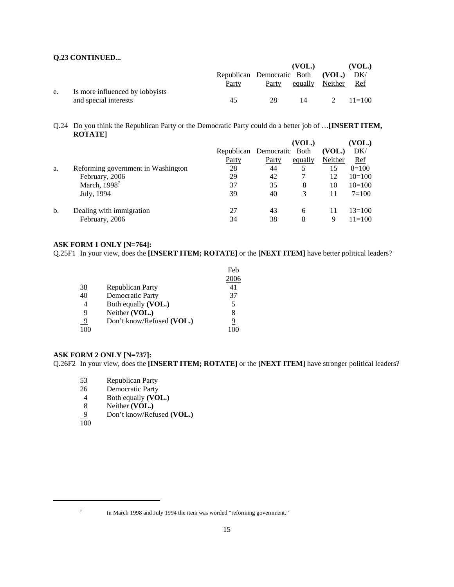# **Q.23 CONTINUED...**

|    |                                 |                                       |    | (VOL.)                       | (VOL.)             |
|----|---------------------------------|---------------------------------------|----|------------------------------|--------------------|
|    |                                 | Republican Democratic Both (VOL.) DK/ |    |                              |                    |
|    |                                 | <b>Party</b>                          |    | <u>Party</u> equally Neither | Ref                |
| e. | Is more influenced by lobbyists |                                       |    |                              |                    |
|    | and special interests           | 45.                                   | 28 | 14                           | $2 \quad 11 = 100$ |

Q.24 Do you think the Republican Party or the Democratic Party could do a better job of …**[INSERT ITEM, ROTATE]**

|                                    |              |       | (VOL.)  |                            | (VOL.)     |
|------------------------------------|--------------|-------|---------|----------------------------|------------|
|                                    |              |       |         | (VOL.)                     | DK/        |
|                                    | <b>Party</b> | Party | equally | Neither                    | Ref        |
| Reforming government in Washington | 28           | 44    |         | 15                         | $8=100$    |
| February, 2006                     | 29           | 42    |         | 12                         | $10=100$   |
| March, $1998^7$                    | 37           | 35    | 8       | 10                         | $10=100$   |
| July, 1994                         | 39           | 40    | 3       | 11                         | $7 = 100$  |
| Dealing with immigration           | 27           | 43    | 6       | 11                         | $13=100$   |
| February, 2006                     | 34           | 38    | 8       | 9                          | $11 = 100$ |
|                                    |              |       |         | Republican Democratic Both |            |

#### **ASK FORM 1 ONLY [N=764]:**

Q.25F1 In your view, does the **[INSERT ITEM; ROTATE]** or the **[NEXT ITEM]** have better political leaders?

|                |                           | Feb  |
|----------------|---------------------------|------|
|                |                           | 2006 |
| 38             | Republican Party          | 41   |
| 40             | <b>Democratic Party</b>   | 37   |
|                | Both equally (VOL.)       | 5    |
| 9              | Neither (VOL.)            | 8    |
| $\overline{9}$ | Don't know/Refused (VOL.) | 9    |
| 100            |                           |      |

#### **ASK FORM 2 ONLY [N=737]:**

Q.26F2 In your view, does the **[INSERT ITEM; ROTATE]** or the **[NEXT ITEM]** have stronger political leaders?

- 53 Republican Party<br>26 Democratic Party
- Democratic Party
- 4 Both equally **(VOL.)**<br>8 Neither **(VOL.)**
- Neither **(VOL.)**
- 9 Don't know/Refused **(VOL.)**  $\frac{9}{100}$

<sup>&</sup>lt;sup>7</sup> In March 1998 and July 1994 the item was worded "reforming government."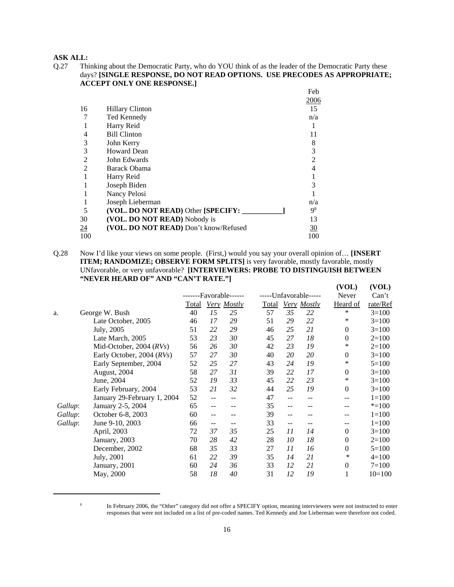Q.27 Thinking about the Democratic Party, who do YOU think of as the leader of the Democratic Party these days? **[SINGLE RESPONSE, DO NOT READ OPTIONS. USE PRECODES AS APPROPRIATE; ACCEPT ONLY ONE RESPONSE.]**

|                  |                                       | Feb            |
|------------------|---------------------------------------|----------------|
|                  |                                       | <u>2006</u>    |
| 16               | <b>Hillary Clinton</b>                | 15             |
|                  | Ted Kennedy                           | n/a            |
|                  | Harry Reid                            |                |
|                  | <b>Bill Clinton</b>                   | 11             |
| 3                | John Kerry                            | 8              |
| 3                | <b>Howard Dean</b>                    | 3              |
| 2                | John Edwards                          | $\overline{2}$ |
| $\mathfrak{D}$   | <b>Barack Obama</b>                   | 4              |
|                  | Harry Reid                            |                |
|                  | Joseph Biden                          | 3              |
|                  | Nancy Pelosi                          |                |
|                  | Joseph Lieberman                      | n/a            |
| 5                | (VOL. DO NOT READ) Other [SPECIFY:    | 9 <sup>8</sup> |
| 30               | (VOL. DO NOT READ) Nobody is          | 13             |
| $\underline{24}$ | (VOL. DO NOT READ) Don't know/Refused | 30             |
| 100              |                                       | 100            |

Q.28 Now I'd like your views on some people. (First,) would you say your overall opinion of… **[INSERT ITEM; RANDOMIZE; OBSERVE FORM SPLITS]** is very favorable, mostly favorable, mostly UNfavorable, or very unfavorable? **[INTERVIEWERS: PROBE TO DISTINGUISH BETWEEN "NEVER HEARD OF" AND "CAN'T RATE."]**

|         |                             |       |    |                  |       |    |                       | (VOL)        | (VOL)     |
|---------|-----------------------------|-------|----|------------------|-------|----|-----------------------|--------------|-----------|
|         |                             |       |    | -Favorable------ |       |    | -----Unfavorable----- | Never        | Can't     |
|         |                             | Total |    | Very Mostly      | Total |    | Very Mostly           | Heard of     | rate/Ref  |
| a.      | George W. Bush              | 40    | 15 | 25               | 57    | 35 | 22                    | *            | $3=100$   |
|         | Late October, 2005          | 46    | 17 | 29               | 51    | 29 | 22                    | ∗            | $3=100$   |
|         | July, 2005                  | 51    | 22 | 29               | 46    | 25 | 21                    | $\mathbf{0}$ | $3=100$   |
|         | Late March, 2005            | 53    | 23 | 30               | 45    | 27 | 18                    | $\theta$     | $2=100$   |
|         | Mid-October, 2004 $(RVs)$   | 56    | 26 | 30               | 42    | 23 | 19                    | *            | $2=100$   |
|         | Early October, 2004 (RVs)   | 57    | 27 | 30               | 40    | 20 | 20                    | $\mathbf{0}$ | $3=100$   |
|         | Early September, 2004       | 52    | 25 | 27               | 43    | 24 | 19                    | *            | $5=100$   |
|         | August, 2004                | 58    | 27 | 31               | 39    | 22 | 17                    | $\theta$     | $3=100$   |
|         | June, 2004                  | 52    | 19 | 33               | 45    | 22 | 23                    | *            | $3=100$   |
|         | Early February, 2004        | 53    | 21 | 32               | 44    | 25 | 19                    | $\mathbf{0}$ | $3=100$   |
|         | January 29-February 1, 2004 | 52    | -- |                  | 47    | -- | --                    | --           | $1 = 100$ |
| Gallup: | January 2-5, 2004           | 65    | -- |                  | 35    | -- | --                    | --           | $* = 100$ |
| Gallup: | October 6-8, 2003           | 60    | -- |                  | 39    | -- | --                    |              | $1 = 100$ |
| Gallup: | June 9-10, 2003             | 66    | -- |                  | 33    | -- |                       |              | $1 = 100$ |
|         | April, 2003                 | 72    | 37 | 35               | 25    | 11 | 14                    | $\Omega$     | $3=100$   |
|         | January, 2003               | 70    | 28 | 42               | 28    | 10 | 18                    | $\mathbf{0}$ | $2=100$   |
|         | December, 2002              | 68    | 35 | 33               | 27    | 11 | 16                    | $\mathbf{0}$ | $5=100$   |
|         | July, 2001                  | 61    | 22 | 39               | 35    | 14 | 21                    | ∗            | $4=100$   |
|         | January, 2001               | 60    | 24 | 36               | 33    | 12 | 21                    | $\mathbf{0}$ | $7 = 100$ |
|         | May, 2000                   | 58    | 18 | 40               | 31    | 12 | 19                    | 1            | $10=100$  |
|         |                             |       |    |                  |       |    |                       |              |           |

<sup>&</sup>lt;sup>8</sup> In February 2006, the "Other" category did not offer a SPECIFY option, meaning interviewers were not instructed to enter responses that were not included on a list of pre-coded names. Ted Kennedy and Joe Lieberman were therefore not coded.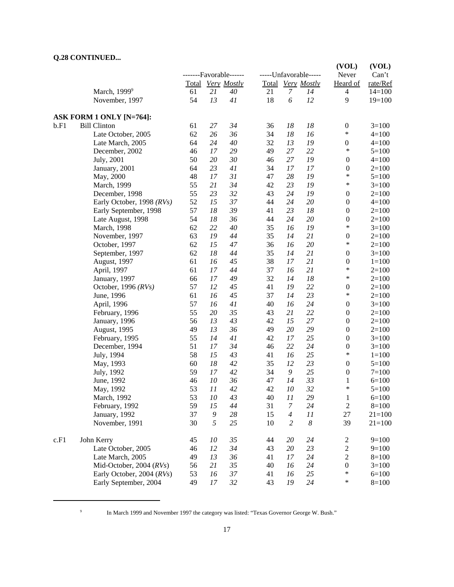# **Q.28 CONTINUED...**

|      | "                         |    |                  | -------Favorable------ | -----Unfavorable----- |                  |                   | (VOL)<br>Never   | (VOL)<br>Can't |
|------|---------------------------|----|------------------|------------------------|-----------------------|------------------|-------------------|------------------|----------------|
|      |                           |    |                  | Total Very Mostly      |                       |                  | Total Very Mostly | Heard of         | rate/Ref       |
|      | March, 1999 <sup>9</sup>  | 61 | 21               | 40                     | 21                    | $\boldsymbol{7}$ | 14                | $\overline{4}$   | $14=100$       |
|      | November, 1997            | 54 | 13               | 41                     | 18                    | 6                | 12                | 9                | $19=100$       |
|      | ASK FORM 1 ONLY [N=764]:  |    |                  |                        |                       |                  |                   |                  |                |
| b.F1 | <b>Bill Clinton</b>       | 61 | 27               | 34                     | 36                    | 18               | 18                | $\boldsymbol{0}$ | $3=100$        |
|      | Late October, 2005        | 62 | 26               | 36                     | 34                    | 18               | 16                | $\ast$           | $4 = 100$      |
|      | Late March, 2005          | 64 | 24               | 40                     | 32                    | 13               | 19                | $\boldsymbol{0}$ | $4 = 100$      |
|      | December, 2002            | 46 | 17               | 29                     | 49                    | 27               | 22                | $\ast$           | $5=100$        |
|      | July, 2001                | 50 | 20               | 30                     | 46                    | 27               | 19                | $\boldsymbol{0}$ | $4 = 100$      |
|      | January, 2001             | 64 | 23               | 41                     | 34                    | 17               | 17                | $\boldsymbol{0}$ | $2=100$        |
|      | May, 2000                 | 48 | 17               | 31                     | 47                    | 28               | 19                | $\ast$           | $5 = 100$      |
|      | March, 1999               | 55 | 21               | 34                     | 42                    | 23               | 19                | $\ast$           | $3=100$        |
|      | December, 1998            | 55 | 23               | 32                     | 43                    | 24               | 19                | $\boldsymbol{0}$ | $2=100$        |
|      | Early October, 1998 (RVs) | 52 | 15               | 37                     | 44                    | 24               | 20                | $\boldsymbol{0}$ | $4 = 100$      |
|      | Early September, 1998     | 57 | 18               | 39                     | 41                    | 23               | 18                | $\boldsymbol{0}$ | $2=100$        |
|      | Late August, 1998         | 54 | 18               | 36                     | 44                    | 24               | 20                | $\boldsymbol{0}$ | $2=100$        |
|      | March, 1998               | 62 | 22               | 40                     | 35                    | 16               | 19                | $\ast$           | $3=100$        |
|      | November, 1997            | 63 | 19               | 44                     | 35                    | 14               | 21                | $\boldsymbol{0}$ | $2=100$        |
|      | October, 1997             | 62 | 15               | $47\,$                 | 36                    | 16               | 20                | $\ast$           | $2=100$        |
|      | September, 1997           | 62 | 18               | 44                     | 35                    | 14               | 21                | $\boldsymbol{0}$ | $3=100$        |
|      | August, 1997              | 61 | 16               | 45                     | 38                    | 17               | 21                | $\boldsymbol{0}$ | $1 = 100$      |
|      | April, 1997               | 61 | 17               | 44                     | 37                    | 16               | 21                | $\ast$           | $2=100$        |
|      | January, 1997             | 66 | 17               | 49                     | 32                    | 14               | 18                | $\ast$           | $2=100$        |
|      | October, 1996 (RVs)       | 57 | 12               | 45                     | 41                    | 19               | 22                | $\boldsymbol{0}$ | $2=100$        |
|      | June, 1996                | 61 | 16               | 45                     | 37                    | 14               | 23                | $\ast$           | $2=100$        |
|      | April, 1996               | 57 | 16               | 41                     | 40                    | 16               | 24                | $\boldsymbol{0}$ | $3=100$        |
|      | February, 1996            | 55 | 20               | 35                     | 43                    | 21               | 22                | $\boldsymbol{0}$ | $2=100$        |
|      | January, 1996             | 56 | 13               | 43                     | 42                    | 15               | 27                | $\boldsymbol{0}$ | $2=100$        |
|      | August, 1995              | 49 | 13               | 36                     | 49                    | 20               | 29                | $\boldsymbol{0}$ | $2=100$        |
|      | February, 1995            | 55 | 14               | 41                     | 42                    | 17               | 25                | $\boldsymbol{0}$ | $3=100$        |
|      | December, 1994            | 51 | 17               | 34                     | 46                    | 22               | 24                | $\boldsymbol{0}$ | $3=100$        |
|      | July, 1994                | 58 | 15               | 43                     | 41                    | 16               | 25                | $\ast$           | $1 = 100$      |
|      | May, 1993                 | 60 | 18               | 42                     | 35                    | 12               | 23                | $\boldsymbol{0}$ | $5 = 100$      |
|      | July, 1992                | 59 | 17               | 42                     | 34                    | 9                | 25                | $\boldsymbol{0}$ | $7 = 100$      |
|      | June, 1992                | 46 | $10\,$           | 36                     | 47                    | 14               | 33                | 1                | $6=100$        |
|      | May, 1992                 | 53 | 11               | 42                     | 42                    | 10               | 32                | $\ast$           | $5=100$        |
|      | March, 1992               | 53 | $10\,$           | 43                     | 40                    | 11               | 29                | $\mathbf{1}$     | $6 = 100$      |
|      | February, 1992            | 59 | 15               | 44                     | 31                    | $\boldsymbol{7}$ | 24                | $\sqrt{2}$       | $8=100$        |
|      | January, 1992             | 37 | $\boldsymbol{9}$ | 28                     | 15                    | $\overline{4}$   | 11                | 27               | $21 = 100$     |
|      | November, 1991            | 30 | 5                | 25                     | 10                    | $\overline{c}$   | $\boldsymbol{8}$  | 39               | $21 = 100$     |
| c.F1 | John Kerry                | 45 | 10               | 35                     | 44                    | 20               | 24                | $\overline{c}$   | $9=100$        |
|      | Late October, 2005        | 46 | 12               | 34                     | 43                    | 20               | 23                | $\sqrt{2}$       | $9=100$        |
|      | Late March, 2005          | 49 | 13               | 36                     | 41                    | 17               | 24                | $\sqrt{2}$       | $8=100$        |
|      | Mid-October, 2004 (RVs)   | 56 | 21               | 35                     | 40                    | 16               | 24                | $\boldsymbol{0}$ | $3=100$        |
|      | Early October, 2004 (RVs) | 53 | 16               | 37                     | 41                    | 16               | 25                | $\ast$           | $6=100$        |
|      | Early September, 2004     | 49 | $17\,$           | 32                     | 43                    | 19               | 24                | $\ast$           | $8=100$        |

<sup>9</sup> In March 1999 and November 1997 the category was listed: "Texas Governor George W. Bush."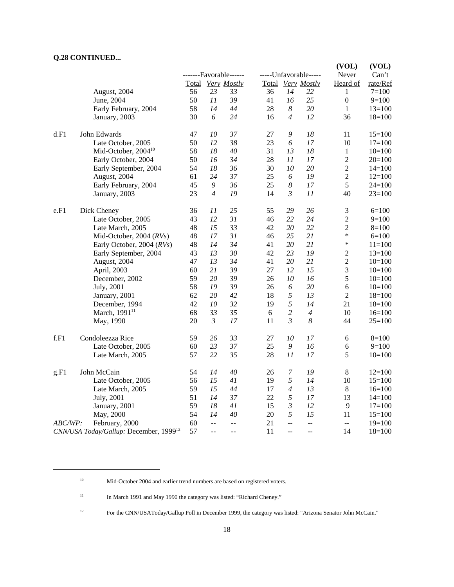# **Q.28 CONTINUED...**

|         |                                                    |       |                          |                        |    |                  |                       | (VOL)            | (VOL)      |
|---------|----------------------------------------------------|-------|--------------------------|------------------------|----|------------------|-----------------------|------------------|------------|
|         |                                                    |       |                          | -------Favorable------ |    |                  | -----Unfavorable----- | Never            | Can't      |
|         |                                                    | Total |                          | <b>Very Mostly</b>     |    |                  | Total Very Mostly     | Heard of         | rate/Ref   |
|         | August, 2004                                       | 56    | 23                       | 33                     | 36 | 14               | 22                    | 1                | $7 = 100$  |
|         | June, 2004                                         | 50    | 11                       | 39                     | 41 | 16               | 25                    | $\boldsymbol{0}$ | $9=100$    |
|         | Early February, 2004                               | 58    | 14                       | 44                     | 28 | 8                | 20                    | 1                | $13=100$   |
|         | January, 2003                                      | 30    | 6                        | 24                     | 16 | $\overline{4}$   | 12                    | 36               | $18=100$   |
| d.F1    | John Edwards                                       | 47    | 10                       | 37                     | 27 | $\boldsymbol{9}$ | 18                    | 11               | $15=100$   |
|         | Late October, 2005                                 | 50    | 12                       | 38                     | 23 | 6                | 17                    | 10               | $17=100$   |
|         | Mid-October, 2004 <sup>10</sup>                    | 58    | 18                       | 40                     | 31 | 13               | 18                    | $\mathbf{1}$     | $10=100$   |
|         | Early October, 2004                                | 50    | 16                       | 34                     | 28 | 11               | 17                    | $\sqrt{2}$       | $20=100$   |
|         | Early September, 2004                              | 54    | 18                       | 36                     | 30 | 10               | 20                    | $\sqrt{2}$       | $14=100$   |
|         | August, 2004                                       | 61    | 24                       | 37                     | 25 | 6                | 19                    | $\overline{c}$   | $12=100$   |
|         | Early February, 2004                               | 45    | 9                        | 36                     | 25 | $\boldsymbol{8}$ | 17                    | 5                | $24 = 100$ |
|         | January, 2003                                      | 23    | $\overline{4}$           | 19                     | 14 | $\mathfrak{Z}$   | 11                    | 40               | $23=100$   |
| e.F1    | Dick Cheney                                        | 36    | 11                       | 25                     | 55 | 29               | 26                    | 3                | $6=100$    |
|         | Late October, 2005                                 | 43    | 12                       | 31                     | 46 | 22               | 24                    | $\sqrt{2}$       | $9=100$    |
|         | Late March, 2005                                   | 48    | 15                       | 33                     | 42 | 20               | 22                    | $\overline{2}$   | $8=100$    |
|         | Mid-October, 2004 (RVs)                            | 48    | 17                       | 31                     | 46 | 25               | 21                    | *                | $6=100$    |
|         | Early October, 2004 (RVs)                          | 48    | 14                       | 34                     | 41 | 20               | 21                    | *                | $11 = 100$ |
|         | Early September, 2004                              | 43    | 13                       | 30                     | 42 | 23               | 19                    | $\overline{c}$   | $13 = 100$ |
|         | August, 2004                                       | 47    | 13                       | 34                     | 41 | 20               | 21                    | $\sqrt{2}$       | $10=100$   |
|         | April, 2003                                        | 60    | 21                       | 39                     | 27 | 12               | 15                    | 3                | $10=100$   |
|         | December, 2002                                     | 59    | 20                       | 39                     | 26 | 10               | 16                    | 5                | $10=100$   |
|         | July, 2001                                         | 58    | 19                       | 39                     | 26 | 6                | 20                    | 6                | $10=100$   |
|         | January, 2001                                      | 62    | 20                       | 42                     | 18 | 5                | 13                    | $\overline{c}$   | $18 = 100$ |
|         | December, 1994                                     | 42    | 10                       | 32                     | 19 | 5                | 14                    | 21               | $18=100$   |
|         | March, 1991 <sup>11</sup>                          | 68    | 33                       | 35                     | 6  | $\sqrt{2}$       | $\overline{4}$        | 10               | $16=100$   |
|         | May, 1990                                          | 20    | $\mathfrak{Z}$           | 17                     | 11 | $\mathfrak{Z}$   | $\boldsymbol{8}$      | 44               | $25=100$   |
| f.F1    | Condoleezza Rice                                   | 59    | 26                       | 33                     | 27 | 10               | 17                    | 6                | $8=100$    |
|         | Late October, 2005                                 | 60    | 23                       | 37                     | 25 | $\boldsymbol{9}$ | 16                    | $\epsilon$       | $9=100$    |
|         | Late March, 2005                                   | 57    | 22                       | 35                     | 28 | 11               | 17                    | 5                | $10=100$   |
| g.F1    | John McCain                                        | 54    | 14                       | 40                     | 26 | $\overline{7}$   | 19                    | $8\,$            | $12=100$   |
|         | Late October, 2005                                 | 56    | 15                       | 41                     | 19 | $\sqrt{2}$       | 14                    | 10               | $15=100$   |
|         | Late March, 2005                                   | 59    | 15                       | 44                     | 17 | $\overline{4}$   | 13                    | $\,8\,$          | $16=100$   |
|         | July, 2001                                         | 51    | 14                       | 37                     | 22 | 5                | 17                    | 13               | $14=100$   |
|         | January, 2001                                      | 59    | 18                       | 41                     | 15 | $\mathfrak{Z}$   | 12                    | 9                | $17=100$   |
|         | May, 2000                                          | 54    | 14                       | 40                     | 20 | 5                | 15                    | 11               | $15=100$   |
| ABC/WP: | February, 2000                                     | 60    | $\ddotsc$                | $\overline{a}$         | 21 | $\overline{a}$   | $-$                   | $\overline{a}$   | $19=100$   |
|         | CNN/USA Today/Gallup: December, 1999 <sup>12</sup> | 57    | $\overline{\phantom{a}}$ | $-$                    | 11 | $-$              | $-$                   | 14               | $18=100$   |

<sup>&</sup>lt;sup>10</sup> Mid-October 2004 and earlier trend numbers are based on registered voters.

<sup>&</sup>lt;sup>11</sup> In March 1991 and May 1990 the category was listed: "Richard Cheney."

<sup>12</sup> For the CNN/USAToday/Gallup Poll in December 1999, the category was listed: "Arizona Senator John McCain."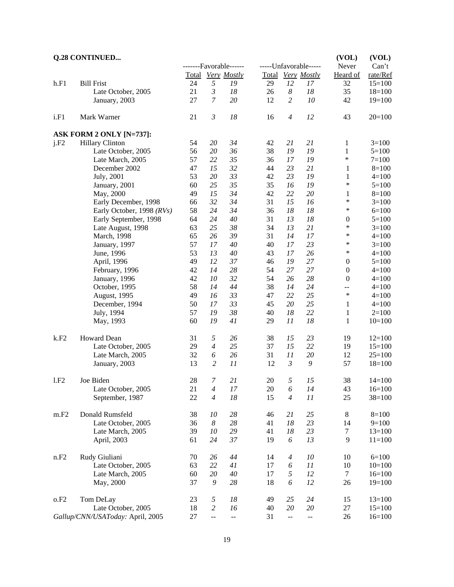|      | <b>Q.28 CONTINUED</b>            |        |                  | -------Favorable------ |    |                  | -----Unfavorable----- | (VOL)<br>Never   | (VOL)<br>Can't |
|------|----------------------------------|--------|------------------|------------------------|----|------------------|-----------------------|------------------|----------------|
|      |                                  |        |                  | Total Very Mostly      |    |                  | Total Very Mostly     | Heard of         | rate/Ref       |
| h.F1 | <b>Bill Frist</b>                | 24     | 5                | 19                     | 29 | 12               | 17                    | 32               | $15=100$       |
|      | Late October, 2005               | 21     | $\mathfrak{Z}$   | 18                     | 26 | $\boldsymbol{8}$ | $18\,$                | 35               | $18=100$       |
|      | January, 2003                    | 27     | $\overline{7}$   | 20                     | 12 | $\overline{c}$   | 10                    | 42               | $19=100$       |
| i.F1 | Mark Warner                      | 21     | $\mathfrak{Z}$   | 18                     | 16 | $\overline{4}$   | 12                    | 43               | $20=100$       |
|      | ASK FORM 2 ONLY [N=737]:         |        |                  |                        |    |                  |                       |                  |                |
| j.F2 | <b>Hillary Clinton</b>           | 54     | 20               | 34                     | 42 | 21               | 21                    | $\mathbf{1}$     | $3=100$        |
|      | Late October, 2005               | 56     | 20               | 36                     | 38 | 19               | 19                    | $\mathbf{1}$     | $5=100$        |
|      | Late March, 2005                 | 57     | 22               | 35                     | 36 | 17               | 19                    | $\ast$           | $7 = 100$      |
|      | December 2002                    | 47     | 15               | 32                     | 44 | 23               | 21                    | 1                | $8=100$        |
|      | July, 2001                       | 53     | 20               | 33                     | 42 | 23               | 19                    | 1                | $4 = 100$      |
|      | January, 2001                    | 60     | 25               | 35                     | 35 | 16               | 19                    | $\ast$           | $5=100$        |
|      | May, 2000                        | 49     | 15               | 34                     | 42 | 22               | 20                    | $\mathbf{1}$     | $8=100$        |
|      | Early December, 1998             | 66     | 32               | 34                     | 31 | 15               | 16                    | $\ast$           | $3=100$        |
|      | Early October, 1998 (RVs)        | 58     | 24               | 34                     | 36 | 18               | 18                    | $\ast$           | $6=100$        |
|      | Early September, 1998            | 64     | 24               | 40                     | 31 | 13               | $18\,$                | $\boldsymbol{0}$ | $5=100$        |
|      | Late August, 1998                | 63     | 25               | 38                     | 34 | 13               | 21                    | $\ast$           | $3=100$        |
|      | March, 1998                      | 65     | 26               | 39                     | 31 | 14               | 17                    | $\ast$           | $4 = 100$      |
|      | January, 1997                    | 57     | 17               | $40\,$                 | 40 | 17               | 23                    | $\ast$           | $3=100$        |
|      | June, 1996                       | 53     | 13               | 40                     | 43 | 17               | 26                    | $\ast$           | $4 = 100$      |
|      | April, 1996                      | 49     | 12               | 37                     | 46 | 19               | 27                    | $\boldsymbol{0}$ | $5=100$        |
|      | February, 1996                   | 42     | 14               | 28                     | 54 | $27\,$           | 27                    | $\boldsymbol{0}$ | $4 = 100$      |
|      | January, 1996                    | 42     | 10               | 32                     | 54 | 26               | $28\,$                | $\boldsymbol{0}$ | $4 = 100$      |
|      | October, 1995                    | 58     | 14               | 44                     | 38 | 14               | 24                    | --               | $4 = 100$      |
|      | August, 1995                     | 49     | 16               | 33                     | 47 | 22               | 25                    | $\ast$           | $4 = 100$      |
|      | December, 1994                   | 50     | 17               | 33                     | 45 | 20               | 25                    | $\mathbf{1}$     | $4 = 100$      |
|      | July, 1994                       | 57     | 19               | 38                     | 40 | 18               | 22                    | 1                | $2=100$        |
|      | May, 1993                        | 60     | 19               | 41                     | 29 | 11               | 18                    | 1                | $10=100$       |
| k.F2 | Howard Dean                      | 31     | $\sqrt{2}$       | 26                     | 38 | 15               | 23                    | 19               | $12=100$       |
|      | Late October, 2005               | 29     | $\overline{4}$   | 25                     | 37 | 15               | 22                    | 19               | $15=100$       |
|      | Late March, 2005                 | 32     | 6                | 26                     | 31 | 11               | $20\,$                | 12               | $25=100$       |
|      | January, 2003                    | 13     | $\overline{c}$   | 11                     | 12 | $\mathfrak{Z}$   | $\boldsymbol{9}$      | 57               | $18=100$       |
| 1.F2 | Joe Biden                        | 28     | 7                | 21                     | 20 | 5                | 15                    | 38               | $14=100$       |
|      | Late October, 2005               | 21     | 4                | 17                     | 20 | 6                | 14                    | 43               | $16=100$       |
|      | September, 1987                  | $22\,$ | $\overline{4}$   | 18                     | 15 | $\overline{4}$   | 11                    | 25               | $38=100$       |
| m.F2 | Donald Rumsfeld                  | 38     | 10               | 28                     | 46 | 21               | 25                    | 8                | $8=100$        |
|      | Late October, 2005               | 36     | $\boldsymbol{8}$ | 28                     | 41 | 18               | 23                    | 14               | $9=100$        |
|      | Late March, 2005                 | 39     | 10               | 29                     | 41 | 18               | 23                    | 7                | $13=100$       |
|      | April, 2003                      | 61     | 24               | 37                     | 19 | 6                | 13                    | 9                | $11 = 100$     |
| n.F2 | Rudy Giuliani                    | 70     | 26               | 44                     | 14 | $\overline{4}$   | $10\,$                | 10               | $6=100$        |
|      | Late October, 2005               | 63     | 22               | 41                     | 17 | 6                | 11                    | 10               | $10=100$       |
|      | Late March, 2005                 | 60     | 20               | $40\,$                 | 17 | 5                | 12                    | 7                | $16=100$       |
|      | May, 2000                        | 37     | 9                | 28                     | 18 | 6                | 12                    | 26               | $19=100$       |
| o.F2 | Tom DeLay                        | 23     | 5                | 18                     | 49 | 25               | 24                    | 15               | $13=100$       |
|      | Late October, 2005               | 18     | $\overline{c}$   | 16                     | 40 | $20\,$           | 20                    | 27               | $15=100$       |
|      | Gallup/CNN/USAToday: April, 2005 | 27     | Ξ.               | $\overline{a}$         | 31 | Ξ.               | $\omega$ $\omega$     | 26               | $16=100$       |

# 19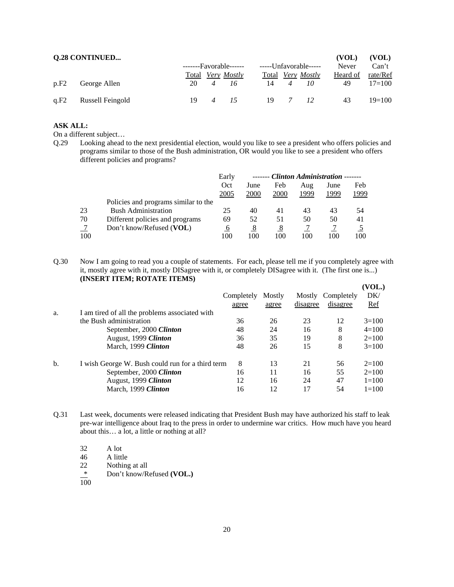|      | <b>Q.28 CONTINUED</b> |       |                    |                       |                    | (VOL)    | (VOL)      |
|------|-----------------------|-------|--------------------|-----------------------|--------------------|----------|------------|
|      |                       |       | $----Favorable---$ | -----Unfavorable----- |                    | Never    | Can't      |
|      |                       | Total | Very Mostly        | Total                 | <i>Very Mostly</i> | Heard of | rate/Ref   |
| p.F2 | George Allen          | 20    | 16                 | 14                    | 10                 | 49       | $17 = 100$ |
| q.F2 | Russell Feingold      | 19    |                    | 19                    | 12                 | 43       | $19=100$   |

On a different subject…

Q.29 Looking ahead to the next presidential election, would you like to see a president who offers policies and programs similar to those of the Bush administration, OR would you like to see a president who offers different policies and programs?

|                |                                      | Early         |      |      |      | ------- Clinton Administration ------- |      |
|----------------|--------------------------------------|---------------|------|------|------|----------------------------------------|------|
|                |                                      | Oct           | June | Feb  | Aug  | June                                   | Feb  |
|                |                                      | 2005          | 2000 | 2000 | 1999 | 1999                                   | 1999 |
|                | Policies and programs similar to the |               |      |      |      |                                        |      |
| 23             | <b>Bush Administration</b>           | 25            | 40   | 41   | 43   | 43                                     | 54   |
| 70             | Different policies and programs      | 69            | 52   | 51   | 50   | 50                                     | 41   |
| $\overline{J}$ | Don't know/Refused (VOL)             | $\mathfrak b$ | 8    | 8    |      |                                        |      |
| 100            |                                      | 100           | 100  | 100  | 100  | 100                                    | 100  |

Q.30 Now I am going to read you a couple of statements. For each, please tell me if you completely agree with it, mostly agree with it, mostly DISagree with it, or completely DISagree with it. (The first one is...) **(INSERT ITEM; ROTATE ITEMS)**

| a.  | I am tired of all the problems associated with   | Completely<br>agree | Mostly<br>agree | Mostly<br>disagree | Completely<br>disagree | (VOL.)<br>DK/<br><b>Ref</b> |
|-----|--------------------------------------------------|---------------------|-----------------|--------------------|------------------------|-----------------------------|
|     | the Bush administration                          | 36                  | 26              | 23                 | 12                     | $3=100$                     |
|     | September, 2000 Clinton                          | 48                  | 24              | 16                 | 8                      | $4=100$                     |
|     | August, 1999 Clinton                             | 36                  | 35              | 19                 | 8                      | $2=100$                     |
|     | March, 1999 Clinton                              | 48                  | 26              | 15                 | 8                      | $3=100$                     |
| $b$ | I wish George W. Bush could run for a third term | 8                   | 13              | 21                 | 56                     | $2=100$                     |
|     | September, 2000 Clinton                          | 16                  | 11              | 16                 | 55                     | $2=100$                     |
|     | August, 1999 Clinton                             | 12                  | 16              | 24                 | 47                     | $1 = 100$                   |
|     | March, 1999 Clinton                              | 16                  | 12              | 17                 | 54                     | $1 = 100$                   |

Q.31 Last week, documents were released indicating that President Bush may have authorized his staff to leak pre-war intelligence about Iraq to the press in order to undermine war critics. How much have you heard about this… a lot, a little or nothing at all?

32 A lot 46 A little<br>22 Nothing Nothing at all \* Don't know/Refused **(VOL.)**

 $\overline{100}$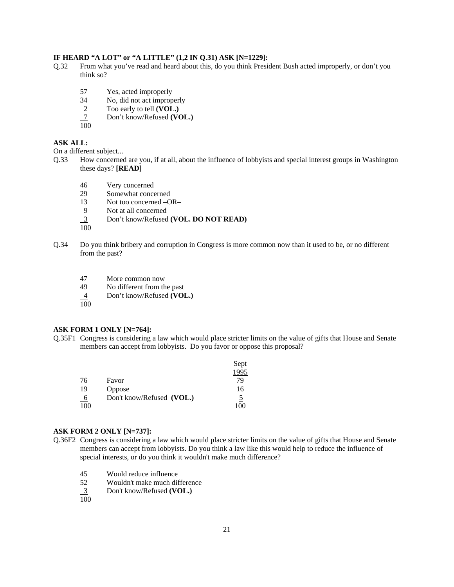# **IF HEARD "A LOT" or "A LITTLE" (1,2 IN Q.31) ASK [N=1229]:**

- Q.32 From what you've read and heard about this, do you think President Bush acted improperly, or don't you think so?
	- 57 Yes, acted improperly
	- 34 No, did not act improperly
	- 2 Too early to tell **(VOL.)**
	- 7 Don't know/Refused **(VOL.)**  $\frac{7}{100}$
	-

#### **ASK ALL:**

On a different subject...

- Q.33 How concerned are you, if at all, about the influence of lobbyists and special interest groups in Washington these days? **[READ]**
	- 46 Very concerned
	- 29 Somewhat concerned
	- 13 Not too concerned –OR–
	- 9 Not at all concerned
	- 3 Don't know/Refused **(VOL. DO NOT READ)**

100

- Q.34 Do you think bribery and corruption in Congress is more common now than it used to be, or no different from the past?
	- 47 More common now
	- 49 No different from the past
	- 4 Don't know/Refused **(VOL.)**
	- 100

# **ASK FORM 1 ONLY [N=764]:**

Q.35F1 Congress is considering a law which would place stricter limits on the value of gifts that House and Senate members can accept from lobbyists. Do you favor or oppose this proposal?

|             |                           | Sept |
|-------------|---------------------------|------|
|             |                           | 1995 |
| 76          | Favor                     | 79   |
| 19          | Oppose                    | 16   |
| $6^{\circ}$ | Don't know/Refused (VOL.) | 5    |
| 100         |                           | 100  |

#### **ASK FORM 2 ONLY [N=737]:**

- Q.36F2 Congress is considering a law which would place stricter limits on the value of gifts that House and Senate members can accept from lobbyists. Do you think a law like this would help to reduce the influence of special interests, or do you think it wouldn't make much difference?
	- 45 Would reduce influence<br>52 Wouldn't make much diff
	- 52 Wouldn't make much difference
	- 3 Don't know/Refused **(VOL.)**  $\frac{3}{100}$
	-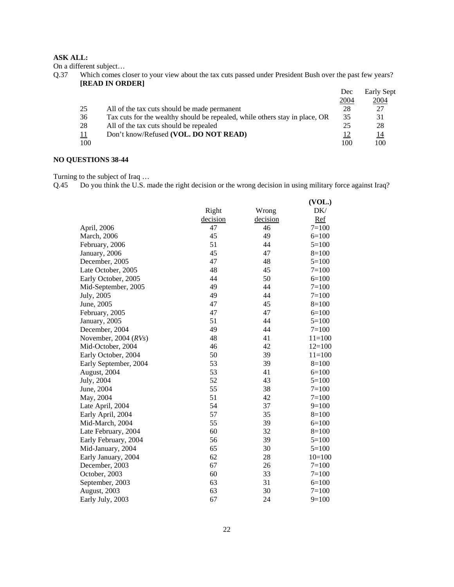On a different subject…

Q.37 Which comes closer to your view about the tax cuts passed under President Bush over the past few years? **[READ IN ORDER]**

|     |                                                                             | Dec  | Early Sept |
|-----|-----------------------------------------------------------------------------|------|------------|
|     |                                                                             | 2004 | 2004       |
| 25  | All of the tax cuts should be made permanent                                | 28   | 27         |
| 36  | Tax cuts for the wealthy should be repealed, while others stay in place, OR | 35   | 31         |
| 28  | All of the tax cuts should be repealed                                      | 25   | 28         |
| 11  | Don't know/Refused (VOL. DO NOT READ)                                       |      | 14         |
| 100 |                                                                             | 100  | 100        |

# **NO QUESTIONS 38-44**

Turning to the subject of Iraq …

Q.45 Do you think the U.S. made the right decision or the wrong decision in using military force against Iraq?

|                        |          |          | (VOL.)     |
|------------------------|----------|----------|------------|
|                        | Right    | Wrong    | DK/        |
|                        | decision | decision | Ref        |
| April, 2006            | 47       | 46       | $7 = 100$  |
| <b>March</b> , 2006    | 45       | 49       | $6=100$    |
| February, 2006         | 51       | 44       | $5=100$    |
| January, 2006          | 45       | 47       | $8=100$    |
| December, 2005         | 47       | 48       | $5=100$    |
| Late October, 2005     | 48       | 45       | $7=100$    |
| Early October, 2005    | 44       | 50       | $6=100$    |
| Mid-September, 2005    | 49       | 44       | $7 = 100$  |
| July, 2005             | 49       | 44       | $7 = 100$  |
| June, 2005             | 47       | 45       | $8=100$    |
| February, 2005         | 47       | 47       | $6=100$    |
| January, 2005          | 51       | 44       | $5=100$    |
| December, 2004         | 49       | 44       | $7 = 100$  |
| November, 2004 $(RVs)$ | 48       | 41       | $11 = 100$ |
| Mid-October, 2004      | 46       | 42       | $12=100$   |
| Early October, 2004    | 50       | 39       | $11 = 100$ |
| Early September, 2004  | 53       | 39       | $8=100$    |
| August, 2004           | 53       | 41       | $6=100$    |
| July, 2004             | 52       | 43       | $5=100$    |
| June, 2004             | 55       | 38       | $7=100$    |
| May, 2004              | 51       | 42       | $7 = 100$  |
| Late April, 2004       | 54       | 37       | $9=100$    |
| Early April, 2004      | 57       | 35       | $8=100$    |
| Mid-March, 2004        | 55       | 39       | $6=100$    |
| Late February, 2004    | 60       | 32       | $8=100$    |
| Early February, 2004   | 56       | 39       | $5=100$    |
| Mid-January, 2004      | 65       | 30       | $5=100$    |
| Early January, 2004    | 62       | 28       | $10=100$   |
| December, 2003         | 67       | 26       | $7=100$    |
| October, 2003          | 60       | 33       | $7 = 100$  |
| September, 2003        | 63       | 31       | $6=100$    |
| August, 2003           | 63       | 30       | $7 = 100$  |
| Early July, 2003       | 67       | 24       | $9=100$    |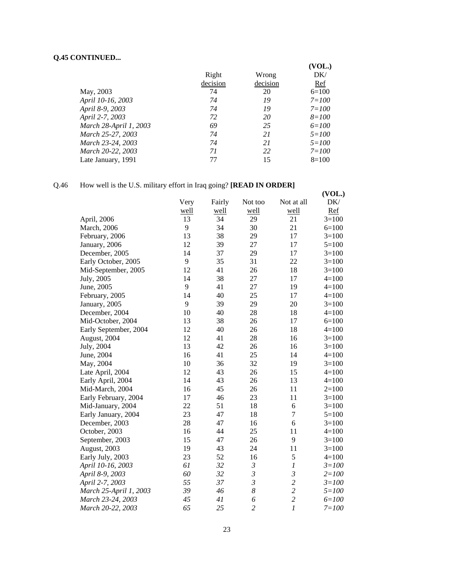# **Q.45 CONTINUED...**

|                        |          |          | (VOL.)    |
|------------------------|----------|----------|-----------|
|                        | Right    | Wrong    | DK/       |
|                        | decision | decision | Ref       |
| May, 2003              | 74       | 20       | $6=100$   |
| April 10-16, 2003      | 74       | 19       | $7 = 100$ |
| April 8-9, 2003        | 74       | 19       | $7 = 100$ |
| April 2-7, 2003        | 72       | 20       | $8 = 100$ |
| March 28-April 1, 2003 | 69       | 25       | $6 = 100$ |
| March 25-27, 2003      | 74       | 21       | $5 = 100$ |
| March 23-24, 2003      | 74       | 21       | $5 = 100$ |
| March 20-22, 2003      | 71       | 22       | $7 = 100$ |
| Late January, 1991     | 77       | 15       | $8=100$   |

# Q.46 How well is the U.S. military effort in Iraq going? **[READ IN ORDER]**

|                        | ↵    |        |                |                  | (VOL.)    |
|------------------------|------|--------|----------------|------------------|-----------|
|                        | Very | Fairly | Not too        | Not at all       | DK/       |
|                        | well | well   | well           | well             | Ref       |
| April, 2006            | 13   | 34     | 29             | 21               | $3=100$   |
| <b>March</b> , 2006    | 9    | 34     | 30             | 21               | $6=100$   |
| February, 2006         | 13   | 38     | 29             | 17               | $3=100$   |
| January, 2006          | 12   | 39     | 27             | 17               | $5=100$   |
| December, 2005         | 14   | 37     | 29             | 17               | $3=100$   |
| Early October, 2005    | 9    | 35     | 31             | 22               | $3=100$   |
| Mid-September, 2005    | 12   | 41     | 26             | 18               | $3=100$   |
| July, 2005             | 14   | 38     | 27             | 17               | $4 = 100$ |
| June, 2005             | 9    | 41     | 27             | 19               | $4 = 100$ |
| February, 2005         | 14   | 40     | 25             | 17               | $4=100$   |
| January, 2005          | 9    | 39     | 29             | 20               | $3=100$   |
| December, 2004         | 10   | 40     | 28             | 18               | $4=100$   |
| Mid-October, 2004      | 13   | 38     | 26             | 17               | $6=100$   |
| Early September, 2004  | 12   | 40     | 26             | 18               | $4=100$   |
| August, 2004           | 12   | 41     | 28             | 16               | $3=100$   |
| July, 2004             | 13   | 42     | 26             | 16               | $3=100$   |
| June, 2004             | 16   | 41     | 25             | 14               | $4 = 100$ |
| May, 2004              | 10   | 36     | 32             | 19               | $3=100$   |
| Late April, 2004       | 12   | 43     | 26             | 15               | $4=100$   |
| Early April, 2004      | 14   | 43     | 26             | 13               | $4=100$   |
| Mid-March, 2004        | 16   | 45     | 26             | 11               | $2=100$   |
| Early February, 2004   | 17   | 46     | 23             | 11               | $3=100$   |
| Mid-January, 2004      | 22   | 51     | 18             | 6                | $3=100$   |
| Early January, 2004    | 23   | 47     | 18             | $\overline{7}$   | $5=100$   |
| December, 2003         | 28   | 47     | 16             | 6                | $3=100$   |
| October, 2003          | 16   | 44     | 25             | 11               | $4=100$   |
| September, 2003        | 15   | 47     | 26             | 9                | $3=100$   |
| August, 2003           | 19   | 43     | 24             | 11               | $3=100$   |
| Early July, 2003       | 23   | 52     | 16             | 5                | $4 = 100$ |
| April 10-16, 2003      | 61   | 32     | $\mathfrak{Z}$ | $\boldsymbol{l}$ | $3 = 100$ |
| April 8-9, 2003        | 60   | 32     | $\mathfrak{Z}$ | $\mathfrak{z}$   | $2 = 100$ |
| April 2-7, 2003        | 55   | 37     | $\mathfrak{Z}$ | $\overline{c}$   | $3 = 100$ |
| March 25-April 1, 2003 | 39   | 46     | 8              | $\overline{c}$   | $5 = 100$ |
| March 23-24, 2003      | 45   | 41     | 6              | $\overline{c}$   | $6 = 100$ |
| March 20-22, 2003      | 65   | 25     | $\overline{c}$ | $\mathfrak{1}$   | $7 = 100$ |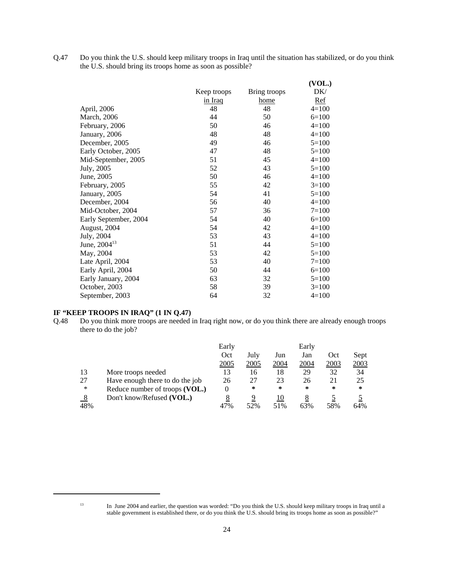Q.47 Do you think the U.S. should keep military troops in Iraq until the situation has stabilized, or do you think the U.S. should bring its troops home as soon as possible?

|                       |             |              | (VOL.)     |
|-----------------------|-------------|--------------|------------|
|                       | Keep troops | Bring troops | DK/        |
|                       | in Iraq     | home         | <u>Ref</u> |
| April, 2006           | 48          | 48           | $4=100$    |
| March, 2006           | 44          | 50           | $6=100$    |
| February, 2006        | 50          | 46           | $4=100$    |
| January, 2006         | 48          | 48           | $4=100$    |
| December, 2005        | 49          | 46           | $5=100$    |
| Early October, 2005   | 47          | 48           | $5=100$    |
| Mid-September, 2005   | 51          | 45           | $4=100$    |
| July, 2005            | 52          | 43           | $5=100$    |
| June, 2005            | 50          | 46           | $4=100$    |
| February, 2005        | 55          | 42           | $3=100$    |
| January, 2005         | 54          | 41           | $5=100$    |
| December, 2004        | 56          | 40           | $4=100$    |
| Mid-October, 2004     | 57          | 36           | $7 = 100$  |
| Early September, 2004 | 54          | 40           | $6=100$    |
| August, 2004          | 54          | 42           | $4=100$    |
| July, 2004            | 53          | 43           | $4=100$    |
| June, $2004^{13}$     | 51          | 44           | $5=100$    |
| May, 2004             | 53          | 42           | $5=100$    |
| Late April, 2004      | 53          | 40           | $7 = 100$  |
| Early April, 2004     | 50          | 44           | $6=100$    |
| Early January, 2004   | 63          | 32           | $5=100$    |
| October, 2003         | 58          | 39           | $3=100$    |
| September, 2003       | 64          | 32           | $4=100$    |
|                       |             |              |            |

# **IF "KEEP TROOPS IN IRAQ" (1 IN Q.47)**

Q.48 Do you think more troops are needed in Iraq right now, or do you think there are already enough troops there to do the job?

|     |                                 | Early |      |      | Early  |      |      |
|-----|---------------------------------|-------|------|------|--------|------|------|
|     |                                 | Oct   | July | Jun  | Jan    | Oct  | Sept |
|     |                                 | 2005  | 2005 | 2004 | 2004   | 2003 | 2003 |
| 13  | More troops needed              | 13    | 16   | 18   | 29     | 32   | 34   |
| 27  | Have enough there to do the job | 26    | 27   | 23   | 26     | 21   | 25   |
| *   | Reduce number of troops (VOL.)  | 0     | ∗    | *    | $\ast$ | *    | *    |
|     | Don't know/Refused (VOL.)       | 8     | 9    | 10   |        |      |      |
| 48% |                                 | 47%   | 52%  | 51%  | 63%    | 58%  | 64%  |

<sup>&</sup>lt;sup>13</sup> In June 2004 and earlier, the question was worded: "Do you think the U.S. should keep military troops in Iraq until a stable government is established there, or do you think the U.S. should bring its troops home as soon as possible?"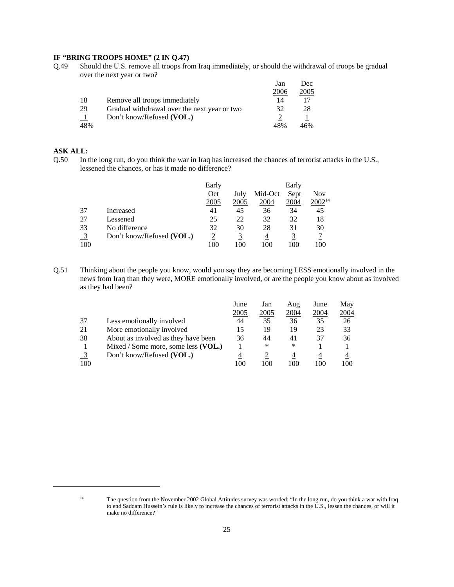## **IF "BRING TROOPS HOME" (2 IN Q.47)**

Q.49 Should the U.S. remove all troops from Iraq immediately, or should the withdrawal of troops be gradual over the next year or two?

|     |                                              | Jan  | Dec  |
|-----|----------------------------------------------|------|------|
|     |                                              | 2006 | 2005 |
| -18 | Remove all troops immediately                | 14   |      |
| 29  | Gradual withdrawal over the next year or two | 32   | 28   |
|     | Don't know/Refused (VOL.)                    |      |      |
| 48% |                                              | 48%  | 46%  |

# **ASK ALL:**

Q.50 In the long run, do you think the war in Iraq has increased the chances of terrorist attacks in the U.S., lessened the chances, or has it made no difference?

|                |                           | Early |      |         | Early |             |
|----------------|---------------------------|-------|------|---------|-------|-------------|
|                |                           | Oct   | July | Mid-Oct | Sept  | Nov         |
|                |                           | 2005  | 2005 | 2004    | 2004  | $2002^{14}$ |
| 37             | Increased                 | 41    | 45   | 36      | 34    | 45          |
| 27             | Lessened                  | 25    | 22   | 32      | 32    | 18          |
| 33             | No difference             | 32    | 30   | 28      | 31    | 30          |
| $\overline{3}$ | Don't know/Refused (VOL.) |       |      | 4       |       |             |
| 100            |                           | 100   | 100  | 100     | 100   | 100         |

Q.51 Thinking about the people you know, would you say they are becoming LESS emotionally involved in the news from Iraq than they were, MORE emotionally involved, or are the people you know about as involved as they had been?

|     |                                     | June        | Jan  | Aug  | June | May  |
|-----|-------------------------------------|-------------|------|------|------|------|
|     |                                     | <u>2005</u> | 2005 | 2004 | 2004 | 2004 |
| 37  | Less emotionally involved           | 44          | 35   | 36   | 35   | 26   |
| 21  | More emotionally involved           |             | 19   | 19   | 23   | 33   |
| 38  | About as involved as they have been | 36          | 44   | 41   | 37   | 36   |
|     | Mixed / Some more, some less (VOL.) |             | ∗    | ∗    |      |      |
|     | Don't know/Refused (VOL.)           |             |      | 4    | 4    |      |
| 100 |                                     | 100         | 100  | 100  | 100  | 100  |

<sup>&</sup>lt;sup>14</sup> The question from the November 2002 Global Attitudes survey was worded: "In the long run, do you think a war with Iraq to end Saddam Hussein's rule is likely to increase the chances of terrorist attacks in the U.S., lessen the chances, or will it make no difference?"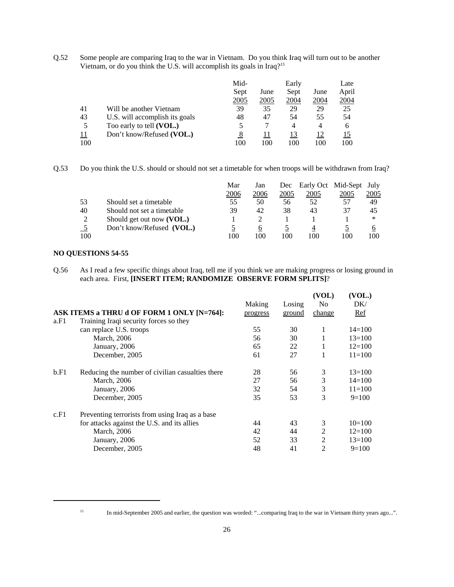Q.52 Some people are comparing Iraq to the war in Vietnam. Do you think Iraq will turn out to be another Vietnam, or do you think the U.S. will accomplish its goals in Iraq?*<sup>15</sup>*

|     |                                | Mid-<br>Early |      | Late          |      |       |
|-----|--------------------------------|---------------|------|---------------|------|-------|
|     |                                | Sept          | June | Sept          | June | April |
|     |                                | 2005          | 2005 | <u> 2004 </u> | 2004 | 2004  |
| 41  | Will be another Vietnam        | 39            | 35   | 29            | 29   | 25    |
| 43  | U.S. will accomplish its goals | 48            | 47   | 54            | 55   | 54    |
|     | Too early to tell (VOL.)       |               |      | 4             | 4    | 6     |
| 11  | Don't know/Refused (VOL.)      |               |      | 13            | 12   |       |
| 100 |                                | 100           | 100  | 100           | 100  | 100   |

Q.53 Do you think the U.S. should or should not set a timetable for when troops will be withdrawn from Iraq?

|     |                            | Mar  | Jan  | Dec  |      | Early Oct Mid-Sept | July |
|-----|----------------------------|------|------|------|------|--------------------|------|
|     |                            | 2006 | 2006 | 2005 | 2005 | 2005               | 2005 |
| 53  | Should set a timetable     | 55   | 50   | 56   | 52   | 57                 | 49   |
| 40  | Should not set a timetable | 39   | 42   | 38   | 43   | 37                 | 45   |
| 2   | Should get out now (VOL.)  |      |      |      |      |                    | ∗    |
|     | Don't know/Refused (VOL.)  |      | O    |      |      |                    | O    |
| 100 |                            | 100  | 100  | 100  | 100  | 100                | 100  |

# **NO QUESTIONS 54-55**

Q.56 As I read a few specific things about Iraq, tell me if you think we are making progress or losing ground in each area. First, **[INSERT ITEM; RANDOMIZE OBSERVE FORM SPLITS]**?

|      |                                                  |          |        | (VOL)          | (VOL.)     |
|------|--------------------------------------------------|----------|--------|----------------|------------|
|      |                                                  | Making   | Losing | N <sub>0</sub> | DK/        |
|      | ASK ITEMS a THRU d OF FORM 1 ONLY [N=764]:       | progress | ground | change         | <b>Ref</b> |
| a.F1 | Training Iraqi security forces so they           |          |        |                |            |
|      | can replace U.S. troops                          | 55       | 30     | 1              | $14=100$   |
|      | March, 2006                                      | 56       | 30     | 1              | $13=100$   |
|      | January, 2006                                    | 65       | 22     | 1              | $12=100$   |
|      | December, 2005                                   | 61       | 27     | 1              | $11 = 100$ |
| b.F1 | Reducing the number of civilian casualties there | 28       | 56     | 3              | $13=100$   |
|      | March, 2006                                      | 27       | 56     | 3              | $14=100$   |
|      | January, 2006                                    | 32       | 54     | 3              | $11 = 100$ |
|      | December, 2005                                   | 35       | 53     | 3              | $9=100$    |
| c.F1 | Preventing terrorists from using Iraq as a base  |          |        |                |            |
|      | for attacks against the U.S. and its allies      | 44       | 43     | 3              | $10=100$   |
|      | March, 2006                                      | 42       | 44     | $\overline{2}$ | $12=100$   |
|      | January, 2006                                    | 52       | 33     | $\overline{2}$ | $13=100$   |
|      | December, 2005                                   | 48       | 41     | $\overline{2}$ | $9=100$    |

<sup>&</sup>lt;sup>15</sup> In mid-September 2005 and earlier, the question was worded: "...comparing Iraq to the war in Vietnam thirty years ago...".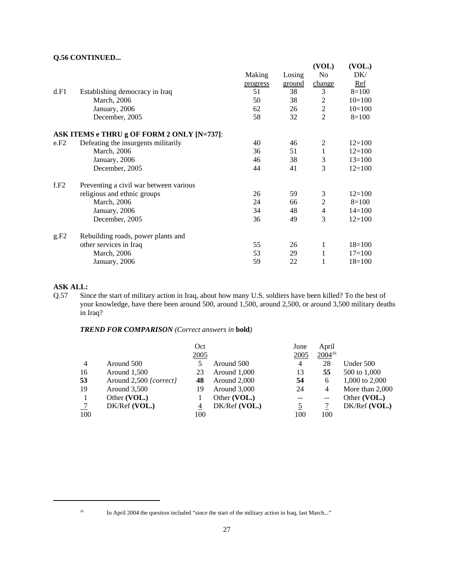# **Q.56 CONTINUED...**

|      |                                            |          |        | (VOL)          | (VOL.)     |
|------|--------------------------------------------|----------|--------|----------------|------------|
|      |                                            | Making   | Losing | N <sub>0</sub> | DK/        |
|      |                                            | progress | ground | change         | Ref        |
| d.F1 | Establishing democracy in Iraq             | 51       | 38     | 3              | $8=100$    |
|      | March, 2006                                | 50       | 38     | 2              | $10=100$   |
|      | January, 2006                              | 62       | 26     | $\overline{2}$ | $10=100$   |
|      | December, 2005                             | 58       | 32     | $\overline{2}$ | $8=100$    |
|      | ASK ITEMS e THRU g OF FORM 2 ONLY [N=737]: |          |        |                |            |
| e.F2 | Defeating the insurgents militarily        | 40       | 46     | 2              | $12=100$   |
|      | March, 2006                                | 36       | 51     | $\mathbf{1}$   | $12=100$   |
|      | January, 2006                              | 46       | 38     | 3              | $13=100$   |
|      | December, 2005                             | 44       | 41     | 3              | $12=100$   |
| f.F2 | Preventing a civil war between various     |          |        |                |            |
|      | religious and ethnic groups                | 26       | 59     | 3              | $12 = 100$ |
|      | March, 2006                                | 24       | 66     | $\mathfrak{2}$ | $8=100$    |
|      | January, 2006                              | 34       | 48     | $\overline{4}$ | $14 = 100$ |
|      | December, 2005                             | 36       | 49     | 3              | $12 = 100$ |
| g.F2 | Rebuilding roads, power plants and         |          |        |                |            |
|      | other services in Iraq                     | 55       | 26     | 1              | $18=100$   |
|      | <b>March</b> , 2006                        | 53       | 29     | 1              | $17=100$   |
|      | January, 2006                              | 59       | 22     | 1              | $18=100$   |

# **ASK ALL:**

Q.57 Since the start of military action in Iraq, about how many U.S. soldiers have been killed? To the best of your knowledge, have there been around 500, around 1,500, around 2,500, or around 3,500 military deaths in Iraq?

*TREND FOR COMPARISON (Correct answers in* **bold***)*

|               |                        | Oct  |               | June           | April       |                   |
|---------------|------------------------|------|---------------|----------------|-------------|-------------------|
|               |                        | 2005 |               | 2005           | $2004^{16}$ |                   |
| 4             | Around 500             |      | Around 500    | $\overline{4}$ | 28          | Under 500         |
| 16            | Around 1,500           | 23   | Around 1,000  | 13             | 55          | 500 to 1,000      |
| 53            | Around 2,500 {correct} | 48   | Around 2,000  | 54             | 6           | 1,000 to 2,000    |
| 19            | Around 3,500           | 19   | Around 3,000  | 24             | 4           | More than $2,000$ |
|               | Other (VOL.)           |      | Other (VOL.)  | --             | $-$         | Other (VOL.)      |
| $\frac{7}{2}$ | DK/Ref(VOL.)           | 4    | DK/Ref (VOL.) | <u>5</u>       |             | $DK/Ref$ (VOL.)   |
| 100           |                        | 100  |               | 100            | 100         |                   |

<sup>&</sup>lt;sup>16</sup> In April 2004 the question included "since the start of the military action in Iraq, last March..."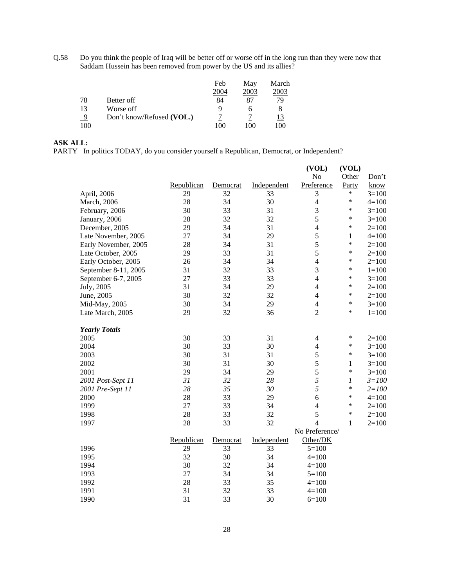Q.58 Do you think the people of Iraq will be better off or worse off in the long run than they were now that Saddam Hussein has been removed from power by the US and its allies?

|     |                           | Feb  | May  | March |
|-----|---------------------------|------|------|-------|
|     |                           | 2004 | 2003 | 2003  |
| 78  | Better off                | 84   | 87   | 79    |
| 13  | Worse off                 | Q    |      |       |
| 9   | Don't know/Refused (VOL.) |      |      | 13    |
| 100 |                           | ۱OC  | 100  | 100   |

# **ASK ALL:**

PARTY In politics TODAY, do you consider yourself a Republican, Democrat, or Independent?

|                      |                       |                                              |                                                    | (VOL)                                  | (VOL)                                                                                                                                    |                |
|----------------------|-----------------------|----------------------------------------------|----------------------------------------------------|----------------------------------------|------------------------------------------------------------------------------------------------------------------------------------------|----------------|
|                      |                       |                                              |                                                    | No                                     | Other                                                                                                                                    | Don't          |
|                      | Republican            | Democrat                                     | Independent                                        | Preference                             | Party                                                                                                                                    | know           |
| April, 2006          | 29                    | 32                                           | 33                                                 | $\mathfrak{Z}$                         | $\ast$                                                                                                                                   | $3=100$        |
| March, 2006          |                       |                                              |                                                    |                                        | $\ast$                                                                                                                                   | $4 = 100$      |
| February, 2006       |                       |                                              |                                                    |                                        | $\ast$                                                                                                                                   | $3=100$        |
|                      |                       |                                              |                                                    |                                        | $\ast$                                                                                                                                   | $3=100$        |
| December, 2005       |                       |                                              |                                                    |                                        | $\ast$                                                                                                                                   | $2=100$        |
| Late November, 2005  | 27                    | 34                                           | 29                                                 |                                        | 1                                                                                                                                        | $4 = 100$      |
| Early November, 2005 |                       |                                              |                                                    |                                        | $\ast$                                                                                                                                   | $2=100$        |
| Late October, 2005   | 29                    | 33                                           | 31                                                 |                                        | $\ast$                                                                                                                                   | $2=100$        |
| Early October, 2005  | 26                    | 34                                           | 34                                                 |                                        | $\ast$                                                                                                                                   | $2=100$        |
| September 8-11, 2005 | 31                    |                                              | 33                                                 |                                        | $\ast$                                                                                                                                   | $1 = 100$      |
| September 6-7, 2005  | 27                    | 33                                           | 33                                                 |                                        | $\ast$                                                                                                                                   | $3=100$        |
| July, 2005           |                       |                                              | 29                                                 | $\overline{4}$                         | $\ast$                                                                                                                                   | $2=100$        |
| June, 2005           | 30                    | 32                                           | 32                                                 | $\overline{4}$                         | $\ast$                                                                                                                                   | $2=100$        |
| Mid-May, 2005        | 30                    | 34                                           | 29                                                 | $\overline{4}$                         | $\ast$                                                                                                                                   | $3 = 100$      |
| Late March, 2005     | 29                    | 32                                           | 36                                                 | $\overline{2}$                         | $\ast$                                                                                                                                   | $1 = 100$      |
| <b>Yearly Totals</b> |                       |                                              |                                                    |                                        |                                                                                                                                          |                |
| 2005                 | 30                    | 33                                           | 31                                                 | $\overline{4}$                         | ∗                                                                                                                                        | $2=100$        |
| 2004                 | 30                    | 33                                           | 30                                                 | $\overline{4}$                         | $\ast$                                                                                                                                   | $3=100$        |
| 2003                 | 30                    | 31                                           | 31                                                 |                                        | $\ast$                                                                                                                                   | $3=100$        |
| 2002                 | 30                    | 31                                           | 30                                                 |                                        | $\mathbf{1}$                                                                                                                             | $3=100$        |
| 2001                 | 29                    | 34                                           | 29                                                 | 5                                      | $\ast$                                                                                                                                   | $3=100$        |
| 2001 Post-Sept 11    | 31                    | 32                                           | 28                                                 |                                        | $\boldsymbol{l}$                                                                                                                         | $3 = 100$      |
| 2001 Pre-Sept 11     | 28                    | 35                                           | 30                                                 |                                        | $\ast$                                                                                                                                   | $2 = 100$      |
| 2000                 | 28                    | 33                                           | 29                                                 | 6                                      | $\ast$                                                                                                                                   | $4 = 100$      |
| 1999                 | 27                    | 33                                           | 34                                                 | $\overline{4}$                         | $\ast$                                                                                                                                   | $2 = 100$      |
| 1998                 |                       |                                              |                                                    |                                        | $\ast$                                                                                                                                   | $2 = 100$      |
| 1997                 | 28                    | 33                                           | 32                                                 | $\overline{4}$                         | $\mathbf{1}$                                                                                                                             | $2=100$        |
|                      |                       |                                              |                                                    |                                        |                                                                                                                                          |                |
|                      | Republican            | Democrat                                     | Independent                                        | Other/DK                               |                                                                                                                                          |                |
| 1996                 | 29                    | 33                                           | 33                                                 | $5=100$                                |                                                                                                                                          |                |
| 1995                 | 32                    | 30                                           | 34                                                 | $4 = 100$                              |                                                                                                                                          |                |
| 1994                 | 30                    | 32                                           | 34                                                 | $4=100$                                |                                                                                                                                          |                |
|                      |                       |                                              |                                                    | $5=100$                                |                                                                                                                                          |                |
| 1992                 | 28                    | 33                                           | 35                                                 | $4 = 100$                              |                                                                                                                                          |                |
| 1991                 | 31                    | 32                                           | 33                                                 | $4 = 100$                              |                                                                                                                                          |                |
| 1990                 | 31                    | 33                                           | 30                                                 | $6=100$                                |                                                                                                                                          |                |
|                      | January, 2006<br>1993 | 28<br>30<br>28<br>29<br>28<br>31<br>28<br>27 | 34<br>33<br>32<br>34<br>34<br>32<br>34<br>33<br>34 | 30<br>31<br>32<br>31<br>31<br>32<br>34 | $\overline{4}$<br>$\mathfrak{Z}$<br>5<br>$\overline{4}$<br>5<br>5<br>5<br>$\overline{4}$<br>3<br>$\overline{4}$<br>5<br>5<br>5<br>5<br>5 | No Preference/ |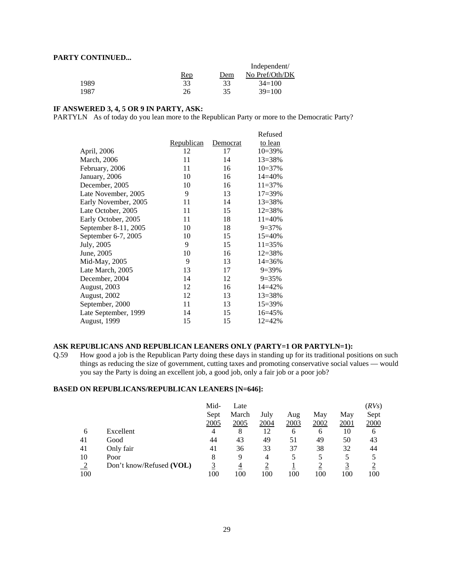## **PARTY CONTINUED...**

| $\mathbf{C}$ |            |     |                |
|--------------|------------|-----|----------------|
|              |            |     | Independent/   |
|              | <u>Rep</u> | Dem | No Pref/Oth/DK |
| 1989         | 33         | 33  | $34=100$       |
| 1987         | 26         | 35  | $39=100$       |

# **IF ANSWERED 3, 4, 5 OR 9 IN PARTY, ASK:**

PARTYLN As of today do you lean more to the Republican Party or more to the Democratic Party?

|                      |            |          | Refused     |
|----------------------|------------|----------|-------------|
|                      | Republican | Democrat | to lean     |
| April, 2006          | 12         | 17       | $10=39\%$   |
| <b>March</b> , 2006  | 11         | 14       | $13 = 38%$  |
| February, 2006       | 11         | 16       | $10=37%$    |
| January, 2006        | 10         | 16       | $14 = 40%$  |
| December, 2005       | 10         | 16       | $11 = 37%$  |
| Late November, 2005  | 9          | 13       | $17 = 39\%$ |
| Early November, 2005 | 11         | 14       | 13=38%      |
| Late October, 2005   | 11         | 15       | 12=38%      |
| Early October, 2005  | 11         | 18       | $11 = 40\%$ |
| September 8-11, 2005 | 10         | 18       | $9=37%$     |
| September 6-7, 2005  | 10         | 15       | $15 = 40%$  |
| July, 2005           | 9          | 15       | $11 = 35%$  |
| June, 2005           | 10         | 16       | $12 = 38%$  |
| Mid-May, 2005        | 9          | 13       | $14 = 36\%$ |
| Late March, 2005     | 13         | 17       | $9=39\%$    |
| December, 2004       | 14         | 12       | $9=35%$     |
| <b>August, 2003</b>  | 12         | 16       | $14 = 42%$  |
| August, 2002         | 12         | 13       | 13=38%      |
| September, 2000      | 11         | 13       | 15=39%      |
| Late September, 1999 | 14         | 15       | $16 = 45%$  |
| <b>August, 1999</b>  | 15         | 15       | $12 = 42%$  |

## **ASK REPUBLICANS AND REPUBLICAN LEANERS ONLY (PARTY=1 OR PARTYLN=1):**

Q.59 How good a job is the Republican Party doing these days in standing up for its traditional positions on such things as reducing the size of government, cutting taxes and promoting conservative social values — would you say the Party is doing an excellent job, a good job, only a fair job or a poor job?

# **BASED ON REPUBLICANS/REPUBLICAN LEANERS [N=646]:**

|     |                          | Mid- | Late  |      |      |      |      | (RVs) |
|-----|--------------------------|------|-------|------|------|------|------|-------|
|     |                          | Sept | March | July | Aug  | May  | May  | Sept  |
|     |                          | 2005 | 2005  | 2004 | 2003 | 2002 | 2001 | 2000  |
| 6   | Excellent                | 4    | 8     | 12   | 6    | 6    | 10   | 6     |
| 41  | Good                     | 44   | 43    | 49   | 51   | 49   | 50   | 43    |
| 41  | Only fair                | 41   | 36    | 33   | 37   | 38   | 32   | 44    |
| 10  | Poor                     | 8    | 9     | 4    |      |      |      |       |
| ∍   | Don't know/Refused (VOL) |      | 4     |      |      |      |      |       |
| 100 |                          | 100  | 100   | 100  | 100  | 100  | 100  | 100   |